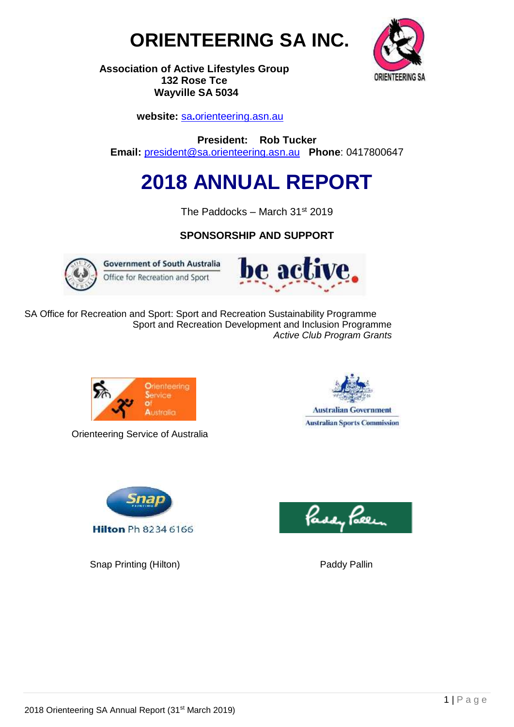



**Association of Active Lifestyles Group 132 Rose Tce Wayville SA 5034**

 **website:** sa**.**[orienteering.asn.au](http://www.sa.orienteering.asn.au/)

**President: Rob Tucker Email:** [president@sa.orienteering.asn.au](mailto:president@sa.orienteering.asn.au) **Phone**: 0417800647

# **2018 ANNUAL REPORT**

The Paddocks – March 31st 2019

# **SPONSORSHIP AND SUPPORT**



**Government of South Australia** Office for Recreation and Sport



SA Office for Recreation and Sport: Sport and Recreation Sustainability Programme Sport and Recreation Development and Inclusion Programme  *Active Club Program Grants*



Orienteering Service of Australia





Snap Printing (Hilton) Paddy Pallin

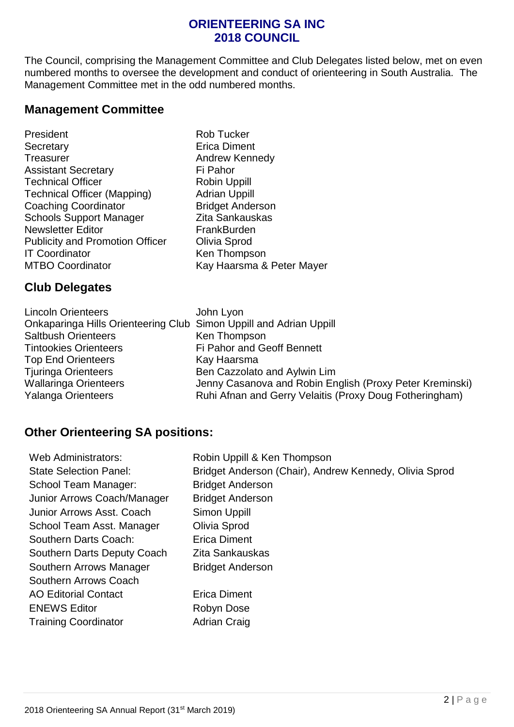# **ORIENTEERING SA INC 2018 COUNCIL**

The Council, comprising the Management Committee and Club Delegates listed below, met on even numbered months to oversee the development and conduct of orienteering in South Australia. The Management Committee met in the odd numbered months.

## **Management Committee**

| President                              |
|----------------------------------------|
| Secretary                              |
| Treasurer                              |
| <b>Assistant Secretary</b>             |
| <b>Technical Officer</b>               |
| <b>Technical Officer (Mapping)</b>     |
| <b>Coaching Coordinator</b>            |
| <b>Schools Support Manager</b>         |
| <b>Newsletter Editor</b>               |
| <b>Publicity and Promotion Officer</b> |
| <b>IT Coordinator</b>                  |
| <b>MTBO Coordinator</b>                |
|                                        |

Rob Tucker **Erica Diment** Andrew Kennedy Fi Pahor Robin Uppill Adrian Uppill Bridget Anderson Zita Sankauskas FrankBurden **Olivia Sprod** Ken Thompson Kay Haarsma & Peter Mayer

# **Club Delegates**

| <b>Lincoln Orienteers</b>                                          | John Lyon                                                |
|--------------------------------------------------------------------|----------------------------------------------------------|
| Onkaparinga Hills Orienteering Club Simon Uppill and Adrian Uppill |                                                          |
| <b>Saltbush Orienteers</b>                                         | Ken Thompson                                             |
| <b>Tintookies Orienteers</b>                                       | Fi Pahor and Geoff Bennett                               |
| <b>Top End Orienteers</b>                                          | Kay Haarsma                                              |
| <b>Tjuringa Orienteers</b>                                         | Ben Cazzolato and Aylwin Lim                             |
| <b>Wallaringa Orienteers</b>                                       | Jenny Casanova and Robin English (Proxy Peter Kreminski) |
| <b>Yalanga Orienteers</b>                                          | Ruhi Afnan and Gerry Velaitis (Proxy Doug Fotheringham)  |

# **Other Orienteering SA positions:**

| <b>Web Administrators:</b>    | Robin Uppill & Ken Thompson                            |
|-------------------------------|--------------------------------------------------------|
| <b>State Selection Panel:</b> | Bridget Anderson (Chair), Andrew Kennedy, Olivia Sprod |
| School Team Manager:          | <b>Bridget Anderson</b>                                |
| Junior Arrows Coach/Manager   | <b>Bridget Anderson</b>                                |
| Junior Arrows Asst. Coach     | <b>Simon Uppill</b>                                    |
| School Team Asst. Manager     | Olivia Sprod                                           |
| Southern Darts Coach:         | Erica Diment                                           |
| Southern Darts Deputy Coach   | Zita Sankauskas                                        |
| Southern Arrows Manager       | <b>Bridget Anderson</b>                                |
| Southern Arrows Coach         |                                                        |
| <b>AO Editorial Contact</b>   | Erica Diment                                           |
| <b>ENEWS Editor</b>           | Robyn Dose                                             |
| <b>Training Coordinator</b>   | <b>Adrian Craig</b>                                    |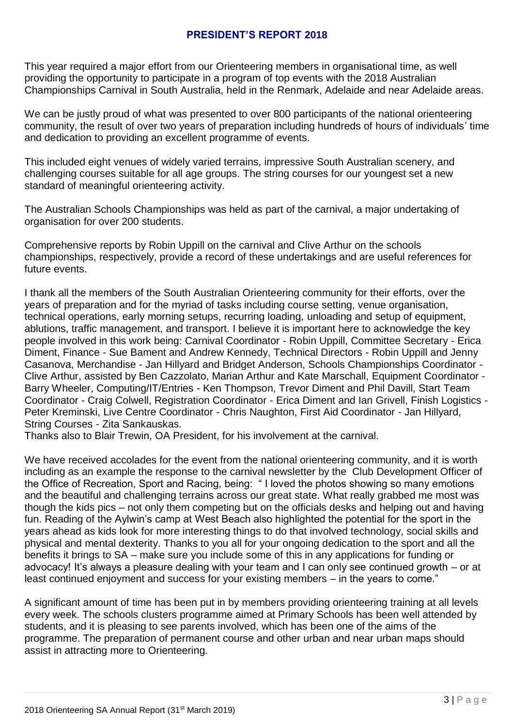#### **PRESIDENT'S REPORT 2018**

This year required a major effort from our Orienteering members in organisational time, as well providing the opportunity to participate in a program of top events with the 2018 Australian Championships Carnival in South Australia, held in the Renmark, Adelaide and near Adelaide areas.

We can be justly proud of what was presented to over 800 participants of the national orienteering community, the result of over two years of preparation including hundreds of hours of individuals' time and dedication to providing an excellent programme of events.

This included eight venues of widely varied terrains, impressive South Australian scenery, and challenging courses suitable for all age groups. The string courses for our youngest set a new standard of meaningful orienteering activity.

The Australian Schools Championships was held as part of the carnival, a major undertaking of organisation for over 200 students.

Comprehensive reports by Robin Uppill on the carnival and Clive Arthur on the schools championships, respectively, provide a record of these undertakings and are useful references for future events.

I thank all the members of the South Australian Orienteering community for their efforts, over the years of preparation and for the myriad of tasks including course setting, venue organisation, technical operations, early morning setups, recurring loading, unloading and setup of equipment, ablutions, traffic management, and transport. I believe it is important here to acknowledge the key people involved in this work being: Carnival Coordinator - Robin Uppill, Committee Secretary - Erica Diment, Finance - Sue Bament and Andrew Kennedy, Technical Directors - Robin Uppill and Jenny Casanova, Merchandise - Jan Hillyard and Bridget Anderson, Schools Championships Coordinator - Clive Arthur, assisted by Ben Cazzolato, Marian Arthur and Kate Marschall, Equipment Coordinator - Barry Wheeler, Computing/IT/Entries - Ken Thompson, Trevor Diment and Phil Davill, Start Team Coordinator - Craig Colwell, Registration Coordinator - Erica Diment and Ian Grivell, Finish Logistics - Peter Kreminski, Live Centre Coordinator - Chris Naughton, First Aid Coordinator - Jan Hillyard, String Courses - Zita Sankauskas.

Thanks also to Blair Trewin, OA President, for his involvement at the carnival.

We have received accolades for the event from the national orienteering community, and it is worth including as an example the response to the carnival newsletter by the Club Development Officer of the Office of Recreation, Sport and Racing, being: " I loved the photos showing so many emotions and the beautiful and challenging terrains across our great state. What really grabbed me most was though the kids pics – not only them competing but on the officials desks and helping out and having fun. Reading of the Aylwin's camp at West Beach also highlighted the potential for the sport in the years ahead as kids look for more interesting things to do that involved technology, social skills and physical and mental dexterity. Thanks to you all for your ongoing dedication to the sport and all the benefits it brings to SA – make sure you include some of this in any applications for funding or advocacy! It's always a pleasure dealing with your team and I can only see continued growth – or at least continued enjoyment and success for your existing members – in the years to come."

A significant amount of time has been put in by members providing orienteering training at all levels every week. The schools clusters programme aimed at Primary Schools has been well attended by students, and it is pleasing to see parents involved, which has been one of the aims of the programme. The preparation of permanent course and other urban and near urban maps should assist in attracting more to Orienteering.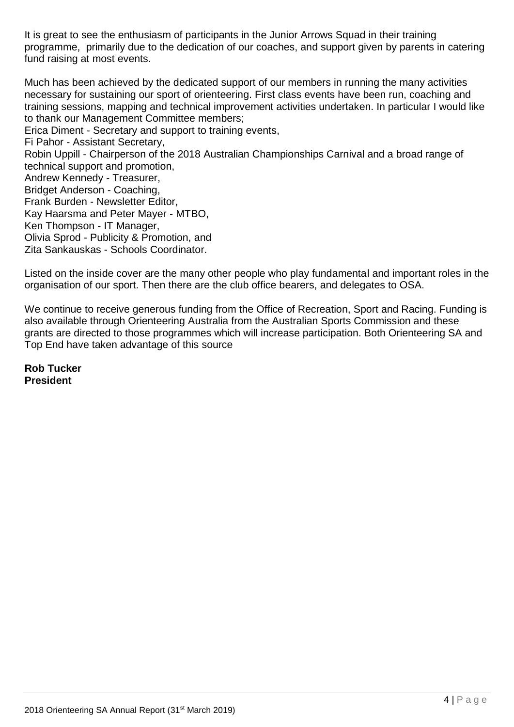It is great to see the enthusiasm of participants in the Junior Arrows Squad in their training programme, primarily due to the dedication of our coaches, and support given by parents in catering fund raising at most events.

Much has been achieved by the dedicated support of our members in running the many activities necessary for sustaining our sport of orienteering. First class events have been run, coaching and training sessions, mapping and technical improvement activities undertaken. In particular I would like to thank our Management Committee members; Erica Diment - Secretary and support to training events, Fi Pahor - Assistant Secretary, Robin Uppill - Chairperson of the 2018 Australian Championships Carnival and a broad range of technical support and promotion, Andrew Kennedy - Treasurer, Bridget Anderson - Coaching, Frank Burden - Newsletter Editor, Kay Haarsma and Peter Mayer - MTBO, Ken Thompson - IT Manager, Olivia Sprod - Publicity & Promotion, and Zita Sankauskas - Schools Coordinator.

Listed on the inside cover are the many other people who play fundamental and important roles in the organisation of our sport. Then there are the club office bearers, and delegates to OSA.

We continue to receive generous funding from the Office of Recreation, Sport and Racing. Funding is also available through Orienteering Australia from the Australian Sports Commission and these grants are directed to those programmes which will increase participation. Both Orienteering SA and Top End have taken advantage of this source

**Rob Tucker President**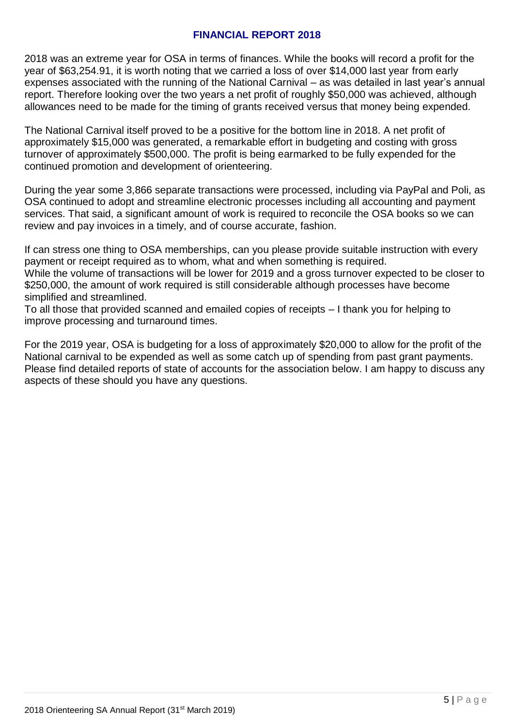#### **FINANCIAL REPORT 2018**

2018 was an extreme year for OSA in terms of finances. While the books will record a profit for the year of \$63,254.91, it is worth noting that we carried a loss of over \$14,000 last year from early expenses associated with the running of the National Carnival – as was detailed in last year's annual report. Therefore looking over the two years a net profit of roughly \$50,000 was achieved, although allowances need to be made for the timing of grants received versus that money being expended.

The National Carnival itself proved to be a positive for the bottom line in 2018. A net profit of approximately \$15,000 was generated, a remarkable effort in budgeting and costing with gross turnover of approximately \$500,000. The profit is being earmarked to be fully expended for the continued promotion and development of orienteering.

During the year some 3,866 separate transactions were processed, including via PayPal and Poli, as OSA continued to adopt and streamline electronic processes including all accounting and payment services. That said, a significant amount of work is required to reconcile the OSA books so we can review and pay invoices in a timely, and of course accurate, fashion.

If can stress one thing to OSA memberships, can you please provide suitable instruction with every payment or receipt required as to whom, what and when something is required.

While the volume of transactions will be lower for 2019 and a gross turnover expected to be closer to \$250,000, the amount of work required is still considerable although processes have become simplified and streamlined.

To all those that provided scanned and emailed copies of receipts – I thank you for helping to improve processing and turnaround times.

For the 2019 year, OSA is budgeting for a loss of approximately \$20,000 to allow for the profit of the National carnival to be expended as well as some catch up of spending from past grant payments. Please find detailed reports of state of accounts for the association below. I am happy to discuss any aspects of these should you have any questions.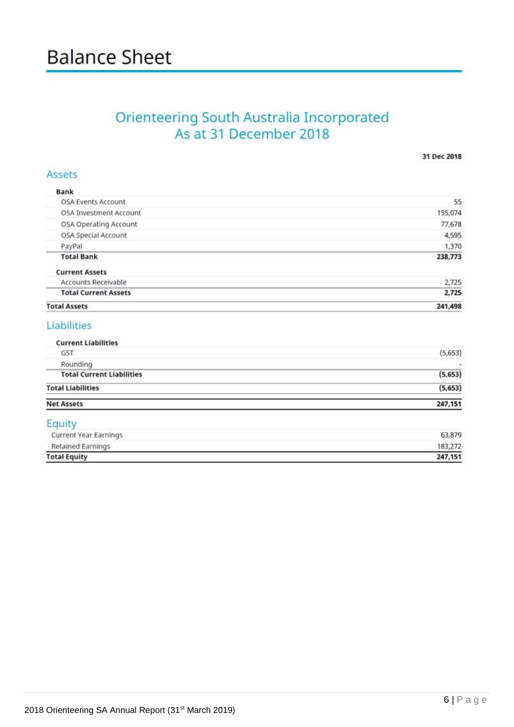# **Balance Sheet**

# Orienteering South Australia Incorporated<br>As at 31 December 2018

31 Dec 2018

| <b>Bank</b><br>OSA Events Account | 55      |
|-----------------------------------|---------|
| OSA Investment Account            | 155,074 |
| OSA Operating Account             | 77,678  |
| OSA Special Account               | 4,595   |
| PayPal                            | 1,370   |
| <b>Total Bank</b>                 | 238,773 |
| <b>Current Assets</b>             |         |
| Accounts Receivable               | 2.725   |
| <b>Total Current Assets</b>       | 2,725   |
| <b>Total Assets</b>               | 241,498 |

## Liabilities

| Equity                           | Catching Sept. Well also |
|----------------------------------|--------------------------|
| <b>Net Assets</b>                | 247,151                  |
| <b>Total Liabilities</b>         | (5, 653)                 |
| <b>Total Current Liabilities</b> | (5, 653)                 |
| Rounding                         | ×                        |
| <b>GST</b>                       | (5,653)                  |
| <b>Current Liabilities</b>       |                          |

| <b>Total Equity</b>   | 247.151 |
|-----------------------|---------|
| Retained Earnings     | 183,272 |
| Current Year Earnings | 63,879  |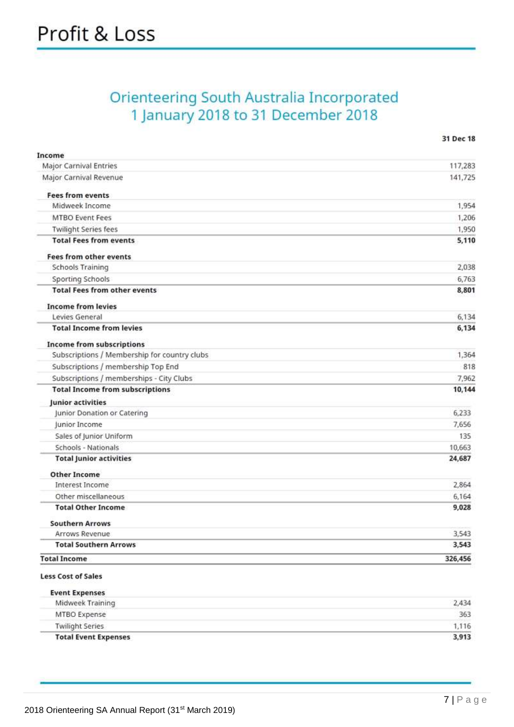# **Orienteering South Australia Incorporated** 1 January 2018 to 31 December 2018

| Income                                       |         |
|----------------------------------------------|---------|
| <b>Major Carnival Entries</b>                | 117,283 |
| Major Carnival Revenue                       | 141,725 |
| <b>Fees from events</b>                      |         |
| Midweek Income                               | 1,954   |
| <b>MTBO Event Fees</b>                       | 1,206   |
| <b>Twilight Series fees</b>                  | 1,950   |
| <b>Total Fees from events</b>                | 5,110   |
| <b>Fees from other events</b>                |         |
| <b>Schools Training</b>                      | 2,038   |
| Sporting Schools                             | 6,763   |
| <b>Total Fees from other events</b>          | 8,801   |
| <b>Income from levies</b>                    |         |
| Levies General                               | 6,134   |
| <b>Total Income from levies</b>              | 6,134   |
| <b>Income from subscriptions</b>             |         |
| Subscriptions / Membership for country clubs | 1,364   |
| Subscriptions / membership Top End           | 818     |
| Subscriptions / memberships - City Clubs     | 7,962   |
| <b>Total Income from subscriptions</b>       | 10,144  |
| Junior activities                            |         |
| Junior Donation or Catering                  | 6,233   |
| Junior Income                                | 7,656   |
| Sales of Junior Uniform                      | 135     |
| Schools - Nationals                          | 10,663  |
| <b>Total Junior activities</b>               | 24,687  |
| <b>Other Income</b>                          |         |
| <b>Interest Income</b>                       | 2,864   |
| Other miscellaneous                          | 6,164   |
| <b>Total Other Income</b>                    | 9,028   |
| <b>Southern Arrows</b>                       |         |
| Arrows Revenue                               | 3,543   |
| <b>Total Southern Arrows</b>                 | 3,543   |
| <b>Total Income</b>                          | 326,456 |
| <b>Less Cost of Sales</b>                    |         |
| <b>Event Expenses</b>                        |         |
| Midweek Training                             | 2,434   |
| MTRO Expense                                 | 363     |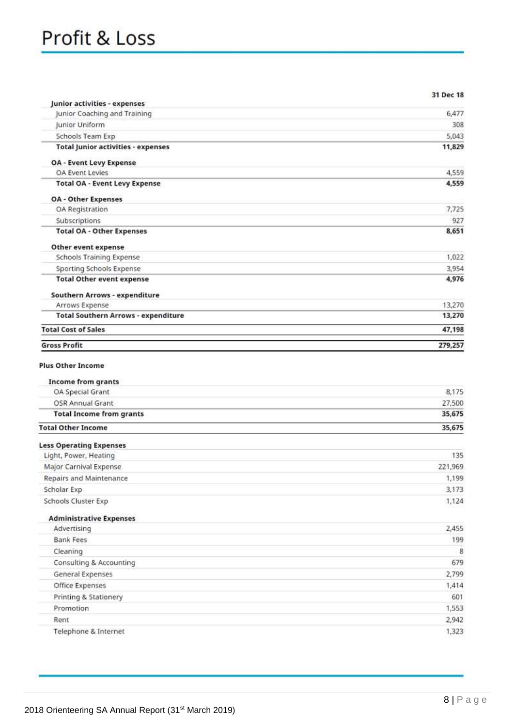| Junior activities - expenses                            | 31 Dec 18 |
|---------------------------------------------------------|-----------|
| Junior Coaching and Training                            | 6,477     |
| Junior Uniform                                          | 308       |
| Schools Team Exp                                        | 5,043     |
| <b>Total Junior activities - expenses</b>               | 11,829    |
| <b>OA - Event Levy Expense</b>                          |           |
| OA Event Levies                                         | 4,559     |
| <b>Total OA - Event Levy Expense</b>                    | 4,559     |
| <b>OA - Other Expenses</b>                              |           |
| OA Registration                                         | 7,725     |
| Subscriptions                                           | 927       |
| <b>Total OA - Other Expenses</b>                        | 8,651     |
| Other event expense                                     |           |
| <b>Schools Training Expense</b>                         | 1,022     |
| Sporting Schools Expense                                | 3,954     |
| <b>Total Other event expense</b>                        | 4,976     |
| Southern Arrows - expenditure                           |           |
| Arrows Expense                                          | 13,270    |
| <b>Total Southern Arrows - expenditure</b>              | 13,270    |
| <b>Total Cost of Sales</b>                              | 47,198    |
| <b>Gross Profit</b>                                     | 279,257   |
| <b>Income from grants</b><br>OA Special Grant           | 8,175     |
| OSR Annual Grant                                        | 27,500    |
| <b>Total Income from grants</b>                         | 35,675    |
| <b>Total Other Income</b>                               | 35,675    |
|                                                         |           |
| <b>Less Operating Expenses</b><br>Light, Power, Heating | 135       |
| Major Carnival Expense                                  | 221,969   |
| Repairs and Maintenance                                 | 1,199     |
| Scholar Exp                                             | 3,173     |
| Schools Cluster Exp                                     | 1,124     |
| <b>Administrative Expenses</b>                          |           |
| Advertising                                             | 2,455     |
| <b>Bank Fees</b>                                        | 199       |
| Cleaning                                                | 8         |
| Consulting & Accounting                                 | 679       |
| <b>General Expenses</b>                                 | 2,799     |
| Office Expenses                                         | 1,414     |
| Printing & Stationery                                   | 601       |
| Promotion                                               | 1,553     |
| Rent                                                    | 2,942     |
| Telephone & Internet                                    | 1,323     |
|                                                         |           |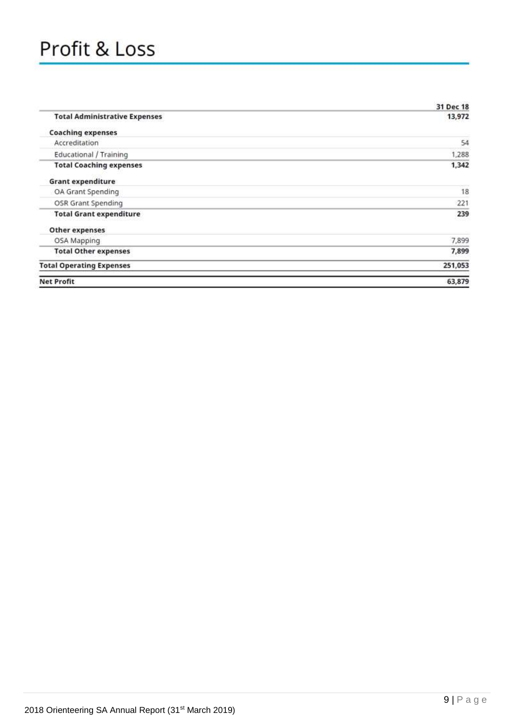# Profit & Loss

|                                      | 31 Dec 18 |
|--------------------------------------|-----------|
| <b>Total Administrative Expenses</b> | 13,972    |
| <b>Coaching expenses</b>             |           |
| Accreditation                        | 54        |
| <b>Educational / Training</b>        | 1,288     |
| <b>Total Coaching expenses</b>       | 1,342     |
| <b>Grant expenditure</b>             |           |
| OA Grant Spending                    | 18        |
| OSR Grant Spending                   | 221       |
| <b>Total Grant expenditure</b>       | 239       |
| Other expenses                       |           |
| OSA Mapping                          | 7,899     |
| <b>Total Other expenses</b>          | 7,899     |
| <b>Total Operating Expenses</b>      | 251,053   |
| <b>Net Profit</b>                    | 63,879    |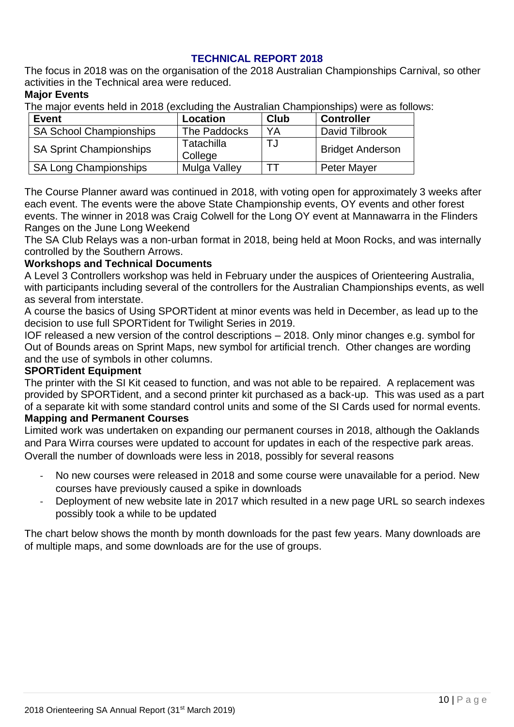#### **TECHNICAL REPORT 2018**

The focus in 2018 was on the organisation of the 2018 Australian Championships Carnival, so other activities in the Technical area were reduced.

#### **Major Events**

The major events held in 2018 (excluding the Australian Championships) were as follows:

| <b>Event</b>                                            | Location     | <b>Club</b>             | <b>Controller</b> |
|---------------------------------------------------------|--------------|-------------------------|-------------------|
| <b>SA School Championships</b>                          | The Paddocks | YA                      | David Tilbrook    |
| Tatachilla<br><b>SA Sprint Championships</b><br>College |              | <b>Bridget Anderson</b> |                   |
| <b>SA Long Championships</b>                            | Mulga Valley |                         | Peter Mayer       |

The Course Planner award was continued in 2018, with voting open for approximately 3 weeks after each event. The events were the above State Championship events, OY events and other forest events. The winner in 2018 was Craig Colwell for the Long OY event at Mannawarra in the Flinders Ranges on the June Long Weekend

The SA Club Relays was a non-urban format in 2018, being held at Moon Rocks, and was internally controlled by the Southern Arrows.

#### **Workshops and Technical Documents**

A Level 3 Controllers workshop was held in February under the auspices of Orienteering Australia, with participants including several of the controllers for the Australian Championships events, as well as several from interstate.

A course the basics of Using SPORTident at minor events was held in December, as lead up to the decision to use full SPORTident for Twilight Series in 2019.

IOF released a new version of the control descriptions – 2018. Only minor changes e.g. symbol for Out of Bounds areas on Sprint Maps, new symbol for artificial trench. Other changes are wording and the use of symbols in other columns.

#### **SPORTident Equipment**

The printer with the SI Kit ceased to function, and was not able to be repaired. A replacement was provided by SPORTident, and a second printer kit purchased as a back-up. This was used as a part of a separate kit with some standard control units and some of the SI Cards used for normal events.

#### **Mapping and Permanent Courses**

Limited work was undertaken on expanding our permanent courses in 2018, although the Oaklands and Para Wirra courses were updated to account for updates in each of the respective park areas. Overall the number of downloads were less in 2018, possibly for several reasons

- No new courses were released in 2018 and some course were unavailable for a period. New courses have previously caused a spike in downloads
- Deployment of new website late in 2017 which resulted in a new page URL so search indexes possibly took a while to be updated

The chart below shows the month by month downloads for the past few years. Many downloads are of multiple maps, and some downloads are for the use of groups.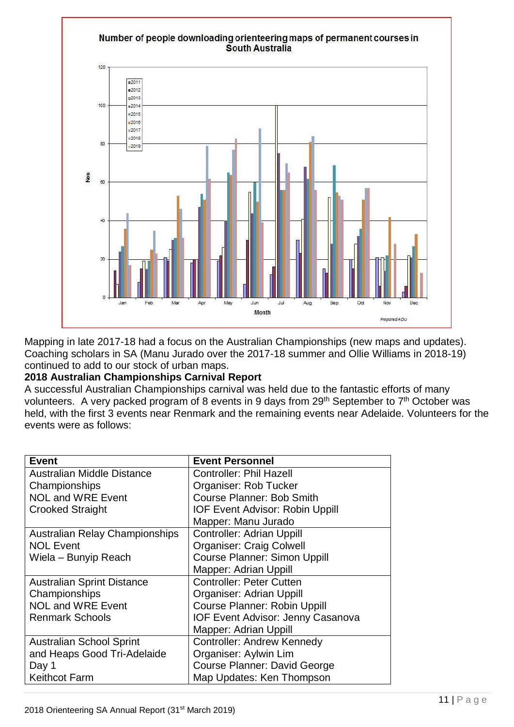

Mapping in late 2017-18 had a focus on the Australian Championships (new maps and updates). Coaching scholars in SA (Manu Jurado over the 2017-18 summer and Ollie Williams in 2018-19) continued to add to our stock of urban maps.

#### **2018 Australian Championships Carnival Report**

A successful Australian Championships carnival was held due to the fantastic efforts of many volunteers. A very packed program of 8 events in 9 days from 29<sup>th</sup> September to 7<sup>th</sup> October was held, with the first 3 events near Renmark and the remaining events near Adelaide. Volunteers for the events were as follows:

| <b>Event</b>                          | <b>Event Personnel</b>                 |
|---------------------------------------|----------------------------------------|
| Australian Middle Distance            | <b>Controller: Phil Hazell</b>         |
| Championships                         | Organiser: Rob Tucker                  |
| <b>NOL and WRE Event</b>              | <b>Course Planner: Bob Smith</b>       |
| <b>Crooked Straight</b>               | <b>IOF Event Advisor: Robin Uppill</b> |
|                                       | Mapper: Manu Jurado                    |
| <b>Australian Relay Championships</b> | <b>Controller: Adrian Uppill</b>       |
| <b>NOL Event</b>                      | <b>Organiser: Craig Colwell</b>        |
| Wiela – Bunyip Reach                  | <b>Course Planner: Simon Uppill</b>    |
|                                       | Mapper: Adrian Uppill                  |
| <b>Australian Sprint Distance</b>     | <b>Controller: Peter Cutten</b>        |
| Championships                         | Organiser: Adrian Uppill               |
| <b>NOL and WRE Event</b>              | <b>Course Planner: Robin Uppill</b>    |
| <b>Renmark Schools</b>                | IOF Event Advisor: Jenny Casanova      |
|                                       | Mapper: Adrian Uppill                  |
| <b>Australian School Sprint</b>       | <b>Controller: Andrew Kennedy</b>      |
| and Heaps Good Tri-Adelaide           | Organiser: Aylwin Lim                  |
| Day 1                                 | Course Planner: David George           |
| <b>Keithcot Farm</b>                  | Map Updates: Ken Thompson              |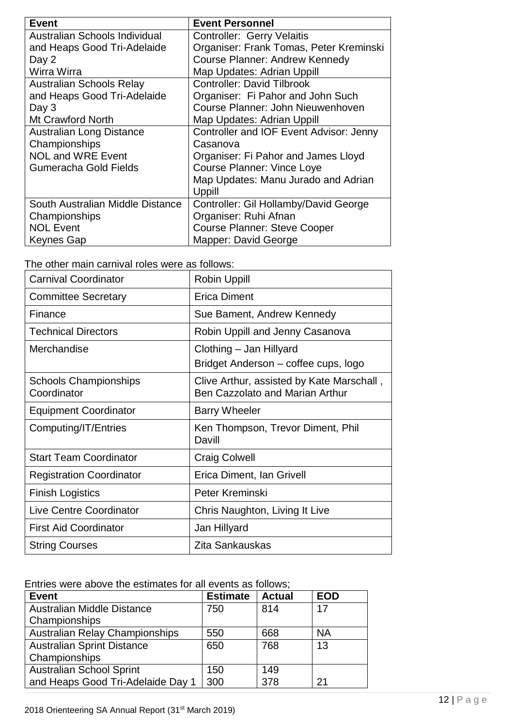| <b>Event</b>                     | <b>Event Personnel</b>                  |
|----------------------------------|-----------------------------------------|
| Australian Schools Individual    | <b>Controller: Gerry Velaitis</b>       |
| and Heaps Good Tri-Adelaide      | Organiser: Frank Tomas, Peter Kreminski |
| Day 2                            | <b>Course Planner: Andrew Kennedy</b>   |
| Wirra Wirra                      | Map Updates: Adrian Uppill              |
| <b>Australian Schools Relay</b>  | <b>Controller: David Tilbrook</b>       |
| and Heaps Good Tri-Adelaide      | Organiser: Fi Pahor and John Such       |
| Day 3                            | Course Planner: John Nieuwenhoven       |
| <b>Mt Crawford North</b>         | Map Updates: Adrian Uppill              |
| Australian Long Distance         | Controller and IOF Event Advisor: Jenny |
| Championships                    | Casanova                                |
| <b>NOL and WRE Event</b>         | Organiser: Fi Pahor and James Lloyd     |
| Gumeracha Gold Fields            | Course Planner: Vince Loye              |
|                                  | Map Updates: Manu Jurado and Adrian     |
|                                  | Uppill                                  |
| South Australian Middle Distance | Controller: Gil Hollamby/David George   |
| Championships                    | Organiser: Ruhi Afnan                   |
| <b>NOL Event</b>                 | <b>Course Planner: Steve Cooper</b>     |
| Keynes Gap                       | Mapper: David George                    |

| The other main carnival roles were as follows: |  |
|------------------------------------------------|--|
|------------------------------------------------|--|

| <b>Carnival Coordinator</b>                 | <b>Robin Uppill</b>                                                                 |
|---------------------------------------------|-------------------------------------------------------------------------------------|
| <b>Committee Secretary</b>                  | <b>Erica Diment</b>                                                                 |
| Finance                                     | Sue Bament, Andrew Kennedy                                                          |
| <b>Technical Directors</b>                  | Robin Uppill and Jenny Casanova                                                     |
| Merchandise                                 | Clothing – Jan Hillyard<br>Bridget Anderson – coffee cups, logo                     |
| <b>Schools Championships</b><br>Coordinator | Clive Arthur, assisted by Kate Marschall,<br><b>Ben Cazzolato and Marian Arthur</b> |
| <b>Equipment Coordinator</b>                | <b>Barry Wheeler</b>                                                                |
| Computing/IT/Entries                        | Ken Thompson, Trevor Diment, Phil<br>Davill                                         |
| <b>Start Team Coordinator</b>               | <b>Craig Colwell</b>                                                                |
| <b>Registration Coordinator</b>             | Erica Diment, Ian Grivell                                                           |
| <b>Finish Logistics</b>                     | Peter Kreminski                                                                     |
| <b>Live Centre Coordinator</b>              | Chris Naughton, Living It Live                                                      |
| <b>First Aid Coordinator</b>                | Jan Hillyard                                                                        |
| <b>String Courses</b>                       | Zita Sankauskas                                                                     |

Entries were above the estimates for all events as follows;

| <b>Event</b>                          | <b>Estimate</b> | <b>Actual</b> | <b>EOD</b> |
|---------------------------------------|-----------------|---------------|------------|
| Australian Middle Distance            | 750             | 814           | 17         |
| Championships                         |                 |               |            |
| <b>Australian Relay Championships</b> | 550             | 668           | <b>NA</b>  |
| <b>Australian Sprint Distance</b>     | 650             | 768           | 13         |
| Championships                         |                 |               |            |
| <b>Australian School Sprint</b>       | 150             | 149           |            |
| and Heaps Good Tri-Adelaide Day 1     | 300             | 378           | 21         |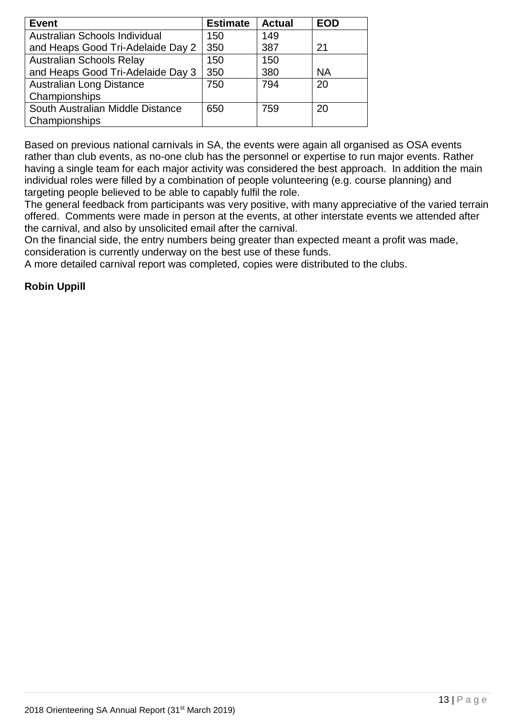| <b>Event</b>                      | <b>Estimate</b> | <b>Actual</b> | <b>EOD</b> |
|-----------------------------------|-----------------|---------------|------------|
| Australian Schools Individual     | 150             | 149           |            |
| and Heaps Good Tri-Adelaide Day 2 | 350             | 387           | 21         |
| <b>Australian Schools Relay</b>   | 150             | 150           |            |
| and Heaps Good Tri-Adelaide Day 3 | 350             | 380           | <b>NA</b>  |
| <b>Australian Long Distance</b>   | 750             | 794           | 20         |
| Championships                     |                 |               |            |
| South Australian Middle Distance  | 650             | 759           | 20         |
| Championships                     |                 |               |            |

Based on previous national carnivals in SA, the events were again all organised as OSA events rather than club events, as no-one club has the personnel or expertise to run major events. Rather having a single team for each major activity was considered the best approach. In addition the main individual roles were filled by a combination of people volunteering (e.g. course planning) and targeting people believed to be able to capably fulfil the role.

The general feedback from participants was very positive, with many appreciative of the varied terrain offered. Comments were made in person at the events, at other interstate events we attended after the carnival, and also by unsolicited email after the carnival.

On the financial side, the entry numbers being greater than expected meant a profit was made, consideration is currently underway on the best use of these funds.

A more detailed carnival report was completed, copies were distributed to the clubs.

#### **Robin Uppill**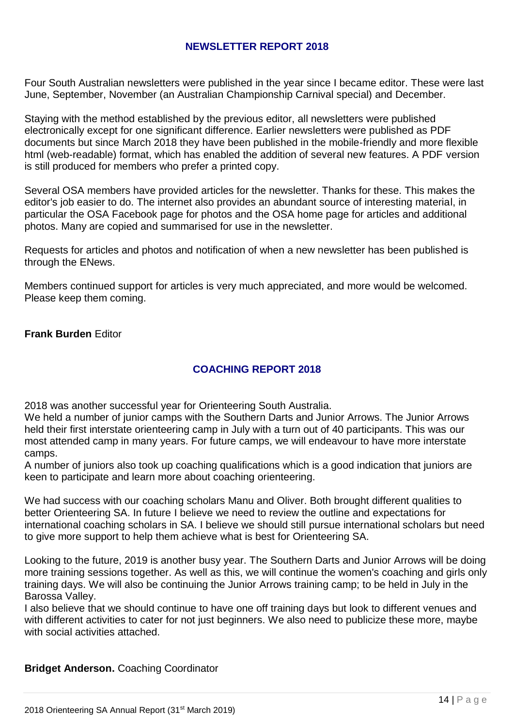#### **NEWSLETTER REPORT 2018**

Four South Australian newsletters were published in the year since I became editor. These were last June, September, November (an Australian Championship Carnival special) and December.

Staying with the method established by the previous editor, all newsletters were published electronically except for one significant difference. Earlier newsletters were published as PDF documents but since March 2018 they have been published in the mobile-friendly and more flexible html (web-readable) format, which has enabled the addition of several new features. A PDF version is still produced for members who prefer a printed copy.

Several OSA members have provided articles for the newsletter. Thanks for these. This makes the editor's job easier to do. The internet also provides an abundant source of interesting material, in particular the OSA Facebook page for photos and the OSA home page for articles and additional photos. Many are copied and summarised for use in the newsletter.

Requests for articles and photos and notification of when a new newsletter has been published is through the ENews.

Members continued support for articles is very much appreciated, and more would be welcomed. Please keep them coming.

**Frank Burden** Editor

#### **COACHING REPORT 2018**

2018 was another successful year for Orienteering South Australia.

We held a number of junior camps with the Southern Darts and Junior Arrows. The Junior Arrows held their first interstate orienteering camp in July with a turn out of 40 participants. This was our most attended camp in many years. For future camps, we will endeavour to have more interstate camps.

A number of juniors also took up coaching qualifications which is a good indication that juniors are keen to participate and learn more about coaching orienteering.

We had success with our coaching scholars Manu and Oliver. Both brought different qualities to better Orienteering SA. In future I believe we need to review the outline and expectations for international coaching scholars in SA. I believe we should still pursue international scholars but need to give more support to help them achieve what is best for Orienteering SA.

Looking to the future, 2019 is another busy year. The Southern Darts and Junior Arrows will be doing more training sessions together. As well as this, we will continue the women's coaching and girls only training days. We will also be continuing the Junior Arrows training camp; to be held in July in the Barossa Valley.

I also believe that we should continue to have one off training days but look to different venues and with different activities to cater for not just beginners. We also need to publicize these more, maybe with social activities attached.

**Bridget Anderson.** Coaching Coordinator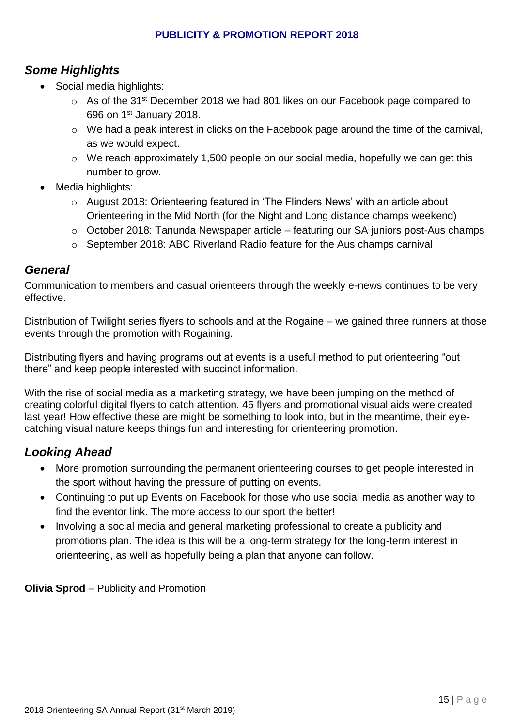#### **PUBLICITY & PROMOTION REPORT 2018**

# *Some Highlights*

- Social media highlights:
	- o As of the 31st December 2018 we had 801 likes on our Facebook page compared to 696 on 1st January 2018.
	- o We had a peak interest in clicks on the Facebook page around the time of the carnival, as we would expect.
	- o We reach approximately 1,500 people on our social media, hopefully we can get this number to grow.
- Media highlights:
	- o August 2018: Orienteering featured in 'The Flinders News' with an article about Orienteering in the Mid North (for the Night and Long distance champs weekend)
	- o October 2018: Tanunda Newspaper article featuring our SA juniors post-Aus champs
	- o September 2018: ABC Riverland Radio feature for the Aus champs carnival

#### *General*

Communication to members and casual orienteers through the weekly e-news continues to be very effective.

Distribution of Twilight series flyers to schools and at the Rogaine – we gained three runners at those events through the promotion with Rogaining.

Distributing flyers and having programs out at events is a useful method to put orienteering "out there" and keep people interested with succinct information.

With the rise of social media as a marketing strategy, we have been jumping on the method of creating colorful digital flyers to catch attention. 45 flyers and promotional visual aids were created last year! How effective these are might be something to look into, but in the meantime, their eyecatching visual nature keeps things fun and interesting for orienteering promotion.

# *Looking Ahead*

- More promotion surrounding the permanent orienteering courses to get people interested in the sport without having the pressure of putting on events.
- Continuing to put up Events on Facebook for those who use social media as another way to find the eventor link. The more access to our sport the better!
- Involving a social media and general marketing professional to create a publicity and promotions plan. The idea is this will be a long-term strategy for the long-term interest in orienteering, as well as hopefully being a plan that anyone can follow.

**Olivia Sprod** – Publicity and Promotion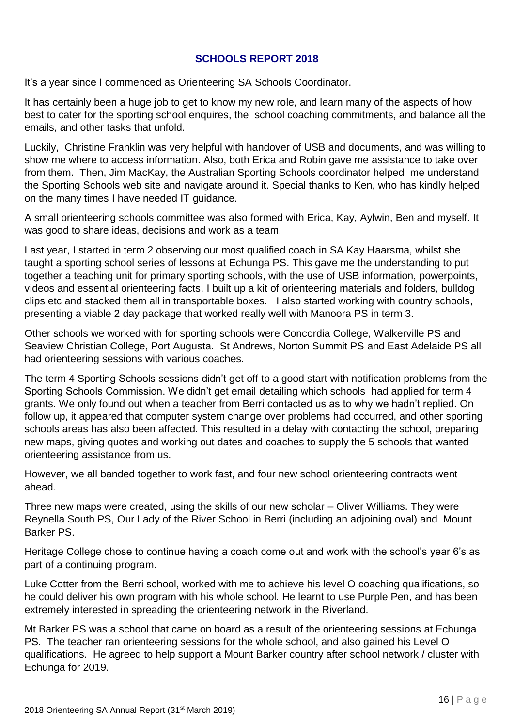#### **SCHOOLS REPORT 2018**

It's a year since I commenced as Orienteering SA Schools Coordinator.

It has certainly been a huge job to get to know my new role, and learn many of the aspects of how best to cater for the sporting school enquires, the school coaching commitments, and balance all the emails, and other tasks that unfold.

Luckily, Christine Franklin was very helpful with handover of USB and documents, and was willing to show me where to access information. Also, both Erica and Robin gave me assistance to take over from them. Then, Jim MacKay, the Australian Sporting Schools coordinator helped me understand the Sporting Schools web site and navigate around it. Special thanks to Ken, who has kindly helped on the many times I have needed IT guidance.

A small orienteering schools committee was also formed with Erica, Kay, Aylwin, Ben and myself. It was good to share ideas, decisions and work as a team.

Last year, I started in term 2 observing our most qualified coach in SA Kay Haarsma, whilst she taught a sporting school series of lessons at Echunga PS. This gave me the understanding to put together a teaching unit for primary sporting schools, with the use of USB information, powerpoints, videos and essential orienteering facts. I built up a kit of orienteering materials and folders, bulldog clips etc and stacked them all in transportable boxes. I also started working with country schools, presenting a viable 2 day package that worked really well with Manoora PS in term 3.

Other schools we worked with for sporting schools were Concordia College, Walkerville PS and Seaview Christian College, Port Augusta. St Andrews, Norton Summit PS and East Adelaide PS all had orienteering sessions with various coaches.

The term 4 Sporting Schools sessions didn't get off to a good start with notification problems from the Sporting Schools Commission. We didn't get email detailing which schools had applied for term 4 grants. We only found out when a teacher from Berri contacted us as to why we hadn't replied. On follow up, it appeared that computer system change over problems had occurred, and other sporting schools areas has also been affected. This resulted in a delay with contacting the school, preparing new maps, giving quotes and working out dates and coaches to supply the 5 schools that wanted orienteering assistance from us.

However, we all banded together to work fast, and four new school orienteering contracts went ahead.

Three new maps were created, using the skills of our new scholar – Oliver Williams. They were Reynella South PS, Our Lady of the River School in Berri (including an adjoining oval) and Mount Barker PS.

Heritage College chose to continue having a coach come out and work with the school's year 6's as part of a continuing program.

Luke Cotter from the Berri school, worked with me to achieve his level O coaching qualifications, so he could deliver his own program with his whole school. He learnt to use Purple Pen, and has been extremely interested in spreading the orienteering network in the Riverland.

Mt Barker PS was a school that came on board as a result of the orienteering sessions at Echunga PS. The teacher ran orienteering sessions for the whole school, and also gained his Level O qualifications. He agreed to help support a Mount Barker country after school network / cluster with Echunga for 2019.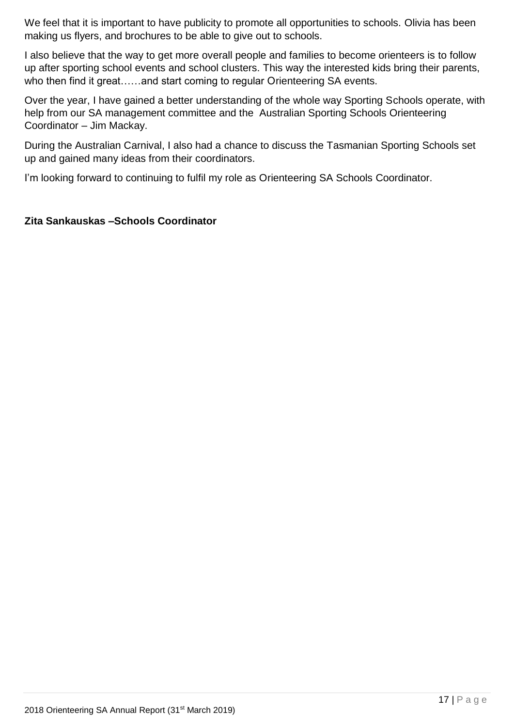We feel that it is important to have publicity to promote all opportunities to schools. Olivia has been making us flyers, and brochures to be able to give out to schools.

I also believe that the way to get more overall people and families to become orienteers is to follow up after sporting school events and school clusters. This way the interested kids bring their parents, who then find it great......and start coming to regular Orienteering SA events.

Over the year, I have gained a better understanding of the whole way Sporting Schools operate, with help from our SA management committee and the Australian Sporting Schools Orienteering Coordinator – Jim Mackay.

During the Australian Carnival, I also had a chance to discuss the Tasmanian Sporting Schools set up and gained many ideas from their coordinators.

I'm looking forward to continuing to fulfil my role as Orienteering SA Schools Coordinator.

#### **Zita Sankauskas –Schools Coordinator**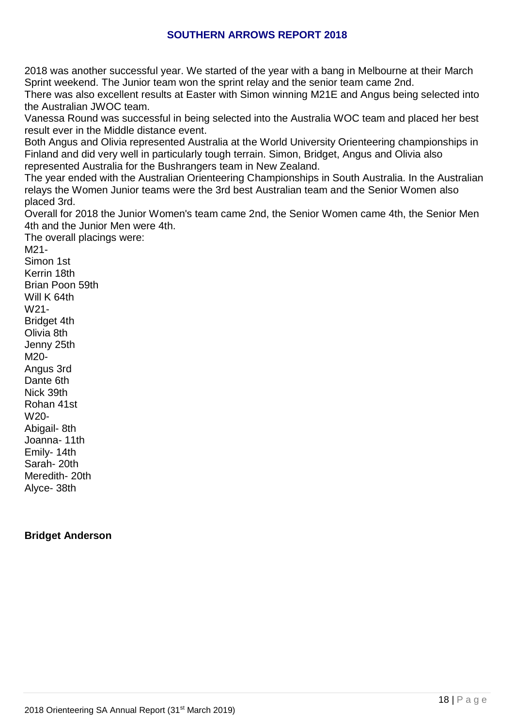#### **SOUTHERN ARROWS REPORT 2018**

2018 was another successful year. We started of the year with a bang in Melbourne at their March Sprint weekend. The Junior team won the sprint relay and the senior team came 2nd.

There was also excellent results at Easter with Simon winning M21E and Angus being selected into the Australian JWOC team.

Vanessa Round was successful in being selected into the Australia WOC team and placed her best result ever in the Middle distance event.

Both Angus and Olivia represented Australia at the World University Orienteering championships in Finland and did very well in particularly tough terrain. Simon, Bridget, Angus and Olivia also represented Australia for the Bushrangers team in New Zealand.

The year ended with the Australian Orienteering Championships in South Australia. In the Australian relays the Women Junior teams were the 3rd best Australian team and the Senior Women also placed 3rd.

Overall for 2018 the Junior Women's team came 2nd, the Senior Women came 4th, the Senior Men 4th and the Junior Men were 4th.

The overall placings were: M21- Simon 1st Kerrin 18th Brian Poon 59th Will K 64th W21- Bridget 4th Olivia 8th Jenny 25th M20- Angus 3rd Dante 6th Nick 39th Rohan 41st W20- Abigail- 8th Joanna- 11th Emily- 14th Sarah- 20th Meredith- 20th Alyce- 38th

#### **Bridget Anderson**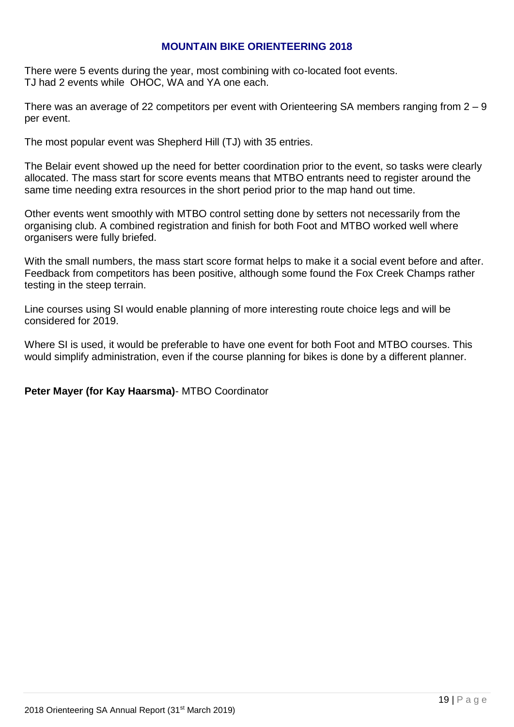#### **MOUNTAIN BIKE ORIENTEERING 2018**

There were 5 events during the year, most combining with co-located foot events. TJ had 2 events while OHOC, WA and YA one each.

There was an average of 22 competitors per event with Orienteering SA members ranging from  $2 - 9$ per event.

The most popular event was Shepherd Hill (TJ) with 35 entries.

The Belair event showed up the need for better coordination prior to the event, so tasks were clearly allocated. The mass start for score events means that MTBO entrants need to register around the same time needing extra resources in the short period prior to the map hand out time.

Other events went smoothly with MTBO control setting done by setters not necessarily from the organising club. A combined registration and finish for both Foot and MTBO worked well where organisers were fully briefed.

With the small numbers, the mass start score format helps to make it a social event before and after. Feedback from competitors has been positive, although some found the Fox Creek Champs rather testing in the steep terrain.

Line courses using SI would enable planning of more interesting route choice legs and will be considered for 2019.

Where SI is used, it would be preferable to have one event for both Foot and MTBO courses. This would simplify administration, even if the course planning for bikes is done by a different planner.

#### **Peter Mayer (for Kay Haarsma)**- MTBO Coordinator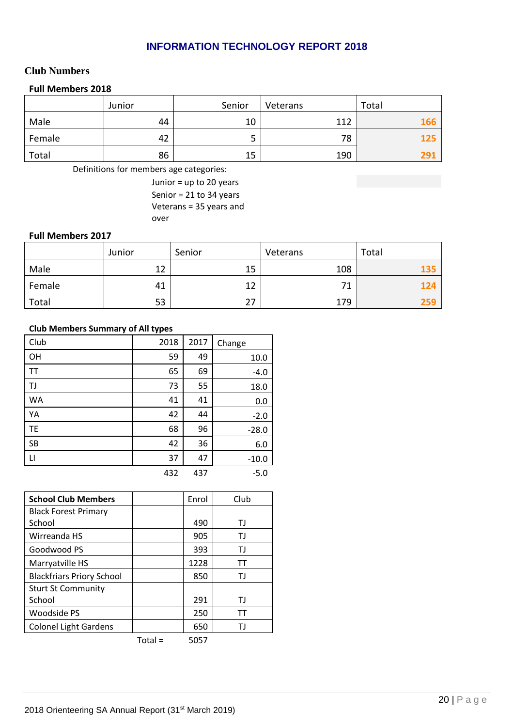#### **INFORMATION TECHNOLOGY REPORT 2018**

#### **Club Numbers**

#### **Full Members 2018**

|        | Junior | Senior | Veterans | Total |
|--------|--------|--------|----------|-------|
| Male   | 44     | 10     | 117      | 166   |
| Female | 42     |        | 78       | 125   |
| Total  | 86     | 15     | 190      | 291   |

Definitions for members age categories:

Junior = up to 20 years Senior = 21 to 34 years Veterans = 35 years and over

#### **Full Members 2017**

|        | Junior | Senior | Veterans | Total |
|--------|--------|--------|----------|-------|
| Male   | 12     | 15     | 108      | 13:   |
| Female | 41     | 12     | 71       |       |
| Total  | 53     | 27     | 179      |       |

#### **Club Members Summary of All types**

| Club         | 2018 | 2017 | Change  |
|--------------|------|------|---------|
| OH           | 59   | 49   | 10.0    |
| <b>TT</b>    | 65   | 69   | $-4.0$  |
| TJ           | 73   | 55   | 18.0    |
| <b>WA</b>    | 41   | 41   | 0.0     |
| YA           | 42   | 44   | $-2.0$  |
| <b>TE</b>    | 68   | 96   | $-28.0$ |
| <b>SB</b>    | 42   | 36   | 6.0     |
| $\mathsf{L}$ | 37   | 47   | $-10.0$ |
|              | 432  | 437  | $-5.0$  |

| <b>School Club Members</b>       |           | Enrol | Club |
|----------------------------------|-----------|-------|------|
| <b>Black Forest Primary</b>      |           |       |      |
| School                           |           | 490   | ΤJ   |
| Wirreanda HS                     |           | 905   | ТJ   |
| Goodwood PS                      |           | 393   | ТJ   |
| Marryatville HS                  |           | 1228  | тт   |
| <b>Blackfriars Priory School</b> |           | 850   | ΤJ   |
| <b>Sturt St Community</b>        |           |       |      |
| School                           |           | 291   | ТJ   |
| <b>Woodside PS</b>               |           | 250   | тт   |
| <b>Colonel Light Gardens</b>     |           | 650   | ТJ   |
|                                  | $Total =$ | 5057  |      |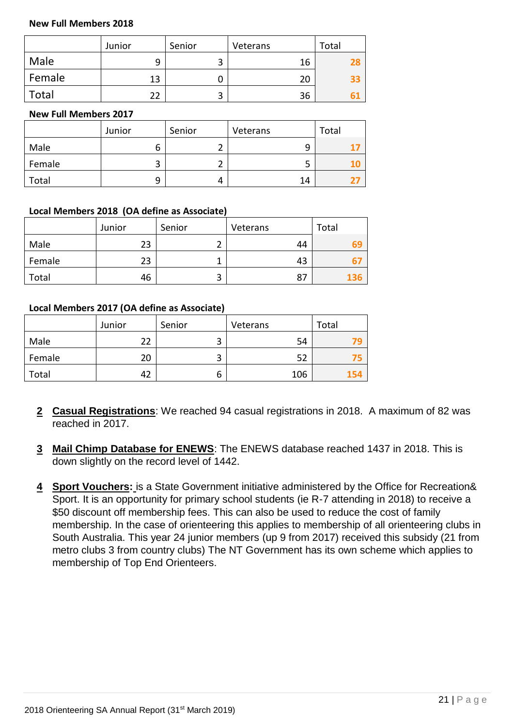#### **New Full Members 2018**

|        | Junior | Senior | Veterans | Total |
|--------|--------|--------|----------|-------|
| Male   | q      | ◠<br>ٮ | 16       |       |
| Female | 13     |        | 20       | 33    |
| Total  | 22     | 2      | 36       |       |

#### **New Full Members 2017**

|        | Junior | Senior | Veterans | Total |
|--------|--------|--------|----------|-------|
| Male   | b      |        | 9        |       |
| Female | ີ      |        | כ        |       |
| Total  | q      |        | 14       |       |

#### **Local Members 2018 (OA define as Associate)**

|        | Junior | Senior | Veterans | Total |
|--------|--------|--------|----------|-------|
| Male   | 23     | ∽      | 44       | ь.    |
| Female | 23     |        | 43       |       |
| Total  | 46     | 3      | 87       |       |

#### **Local Members 2017 (OA define as Associate)**

|        | Junior | Senior | Veterans | Total |
|--------|--------|--------|----------|-------|
| Male   | 22     | ◠<br>3 | 54       |       |
| Female | 20     | ◠<br>з | 52       |       |
| Total  | 42     | ь      | 106      | 154   |

- **2 Casual Registrations**: We reached 94 casual registrations in 2018. A maximum of 82 was reached in 2017.
- **3 Mail Chimp Database for ENEWS**: The ENEWS database reached 1437 in 2018. This is down slightly on the record level of 1442.
- **4 Sport Vouchers:** is a State Government initiative administered by the Office for Recreation& Sport. It is an opportunity for primary school students (ie R-7 attending in 2018) to receive a \$50 discount off membership fees. This can also be used to reduce the cost of family membership. In the case of orienteering this applies to membership of all orienteering clubs in South Australia. This year 24 junior members (up 9 from 2017) received this subsidy (21 from metro clubs 3 from country clubs) The NT Government has its own scheme which applies to membership of Top End Orienteers.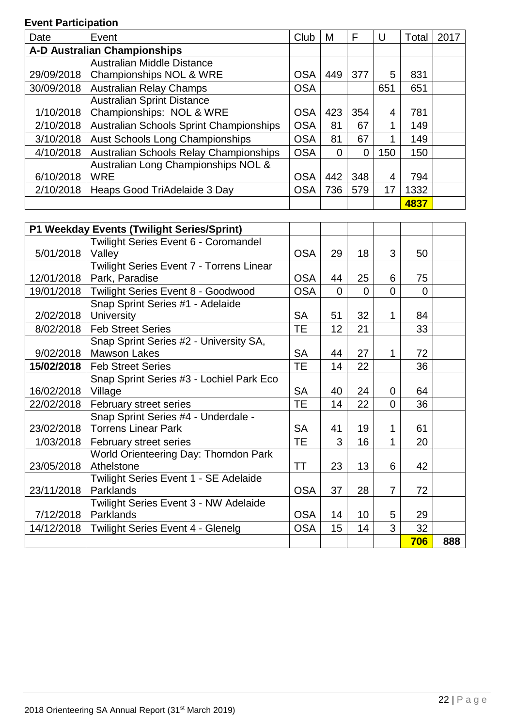## **Event Participation**

| Date       | Event                                   | Club       | M   | F   | U   | Total | 2017 |
|------------|-----------------------------------------|------------|-----|-----|-----|-------|------|
|            | <b>A-D Australian Championships</b>     |            |     |     |     |       |      |
|            | Australian Middle Distance              |            |     |     |     |       |      |
| 29/09/2018 | Championships NOL & WRE                 | <b>OSA</b> | 449 | 377 | 5   | 831   |      |
| 30/09/2018 | <b>Australian Relay Champs</b>          | <b>OSA</b> |     |     | 651 | 651   |      |
|            | <b>Australian Sprint Distance</b>       |            |     |     |     |       |      |
| 1/10/2018  | Championships: NOL & WRE                | <b>OSA</b> | 423 | 354 | 4   | 781   |      |
| 2/10/2018  | Australian Schools Sprint Championships | <b>OSA</b> | 81  | 67  | 1   | 149   |      |
| 3/10/2018  | <b>Aust Schools Long Championships</b>  | <b>OSA</b> | 81  | 67  | 1   | 149   |      |
| 4/10/2018  | Australian Schools Relay Championships  | <b>OSA</b> | 0   | 0   | 150 | 150   |      |
|            | Australian Long Championships NOL &     |            |     |     |     |       |      |
| 6/10/2018  | <b>WRE</b>                              | <b>OSA</b> | 442 | 348 | 4   | 794   |      |
| 2/10/2018  | Heaps Good TriAdelaide 3 Day            | <b>OSA</b> | 736 | 579 | 17  | 1332  |      |
|            |                                         |            |     |     |     | 4837  |      |

|            | P1 Weekday Events (Twilight Series/Sprint)      |            |          |          |                |          |     |
|------------|-------------------------------------------------|------------|----------|----------|----------------|----------|-----|
|            | Twilight Series Event 6 - Coromandel            |            |          |          |                |          |     |
| 5/01/2018  | Valley                                          | <b>OSA</b> | 29       | 18       | 3              | 50       |     |
|            | Twilight Series Event 7 - Torrens Linear        |            |          |          |                |          |     |
|            | 12/01/2018   Park, Paradise                     | <b>OSA</b> | 44       | 25       | 6              | 75       |     |
|            | 19/01/2018   Twilight Series Event 8 - Goodwood | <b>OSA</b> | $\Omega$ | $\Omega$ | $\Omega$       | $\Omega$ |     |
|            | Snap Sprint Series #1 - Adelaide                |            |          |          |                |          |     |
|            | $2/02/2018$ University                          | <b>SA</b>  | 51       | 32       | $\mathbf{1}$   | 84       |     |
| 8/02/2018  | <b>Feb Street Series</b>                        | <b>TE</b>  | 12       | 21       |                | 33       |     |
|            | Snap Sprint Series #2 - University SA,          |            |          |          |                |          |     |
| 9/02/2018  | <b>Mawson Lakes</b>                             | <b>SA</b>  | 44       | 27       | $\mathbf{1}$   | 72       |     |
| 15/02/2018 | <b>Feb Street Series</b>                        | <b>TE</b>  | 14       | 22       |                | 36       |     |
|            | Snap Sprint Series #3 - Lochiel Park Eco        |            |          |          |                |          |     |
| 16/02/2018 | Village                                         | <b>SA</b>  | 40       | 24       | $\overline{0}$ | 64       |     |
| 22/02/2018 | February street series                          | <b>TE</b>  | 14       | 22       | $\Omega$       | 36       |     |
|            | Snap Sprint Series #4 - Underdale -             |            |          |          |                |          |     |
|            | 23/02/2018   Torrens Linear Park                | <b>SA</b>  | 41       | 19       | 1              | 61       |     |
| 1/03/2018  | February street series                          | <b>TE</b>  | 3        | 16       | 1              | 20       |     |
|            | World Orienteering Day: Thorndon Park           |            |          |          |                |          |     |
| 23/05/2018 | Athelstone                                      | TT         | 23       | 13       | 6              | 42       |     |
|            | Twilight Series Event 1 - SE Adelaide           |            |          |          |                |          |     |
| 23/11/2018 | Parklands                                       | <b>OSA</b> | 37       | 28       | $\overline{7}$ | 72       |     |
|            | <b>Twilight Series Event 3 - NW Adelaide</b>    |            |          |          |                |          |     |
| 7/12/2018  | Parklands                                       | <b>OSA</b> | 14       | 10       | 5              | 29       |     |
| 14/12/2018 | Twilight Series Event 4 - Glenelg               | <b>OSA</b> | 15       | 14       | 3              | 32       |     |
|            |                                                 |            |          |          |                | 706      | 888 |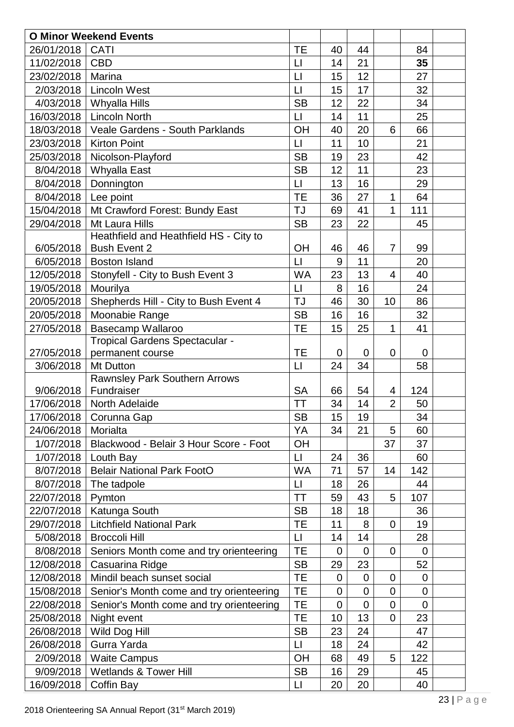|            | <b>O Minor Weekend Events</b>                  |                     |                  |                |                |                |  |
|------------|------------------------------------------------|---------------------|------------------|----------------|----------------|----------------|--|
| 26/01/2018 | CATI                                           | <b>TE</b>           | 40               | 44             |                | 84             |  |
| 11/02/2018 | <b>CBD</b>                                     | $\sqcup$            | 14               | 21             |                | 35             |  |
| 23/02/2018 | Marina                                         | $\Box$              | 15               | 12             |                | 27             |  |
| 2/03/2018  | <b>Lincoln West</b>                            | $\Box$              | 15               | 17             |                | 32             |  |
| 4/03/2018  | <b>Whyalla Hills</b>                           | <b>SB</b>           | 12               | 22             |                | 34             |  |
| 16/03/2018 | <b>Lincoln North</b>                           | $\lfloor \rfloor$   | 14               | 11             |                | 25             |  |
| 18/03/2018 | Veale Gardens - South Parklands                | OH                  | 40               | 20             | 6              | 66             |  |
| 23/03/2018 | <b>Kirton Point</b>                            | $\mathsf{L}$        | 11               | 10             |                | 21             |  |
| 25/03/2018 | Nicolson-Playford                              | <b>SB</b>           | 19               | 23             |                | 42             |  |
| 8/04/2018  | <b>Whyalla East</b>                            | <b>SB</b>           | 12               | 11             |                | 23             |  |
| 8/04/2018  | Donnington                                     | $\lfloor \rfloor$   | 13               | 16             |                | 29             |  |
| 8/04/2018  | Lee point                                      | <b>TE</b>           | 36               | 27             | 1              | 64             |  |
| 15/04/2018 | Mt Crawford Forest: Bundy East                 | <b>TJ</b>           | 69               | 41             | 1              | 111            |  |
| 29/04/2018 | Mt Laura Hills                                 | <b>SB</b>           | 23               | 22             |                | 45             |  |
|            | Heathfield and Heathfield HS - City to         |                     |                  |                |                |                |  |
| 6/05/2018  | <b>Bush Event 2</b>                            | OH                  | 46               | 46             | 7              | 99             |  |
| 6/05/2018  | <b>Boston Island</b>                           | $\mathsf{L}$        | 9                | 11             |                | 20             |  |
| 12/05/2018 | Stonyfell - City to Bush Event 3               | <b>WA</b>           | 23               | 13             | $\overline{4}$ | 40             |  |
| 19/05/2018 | Mourilya                                       | $\Box$              | 8                | 16             |                | 24             |  |
| 20/05/2018 | Shepherds Hill - City to Bush Event 4          | <b>TJ</b>           | 46               | 30             | 10             | 86             |  |
| 20/05/2018 | Moonabie Range                                 | <b>SB</b>           | 16               | 16             |                | 32             |  |
| 27/05/2018 | Basecamp Wallaroo                              | <b>TE</b>           | 15               | 25             | 1              | 41             |  |
|            | Tropical Gardens Spectacular -                 |                     |                  |                |                |                |  |
| 27/05/2018 | permanent course                               | <b>TE</b>           | $\mathbf 0$      | 0              | 0              | $\overline{0}$ |  |
| 3/06/2018  | Mt Dutton                                      | $\Box$              | 24               | 34             |                | 58             |  |
|            | Rawnsley Park Southern Arrows                  |                     |                  |                |                |                |  |
| 9/06/2018  | Fundraiser                                     | <b>SA</b>           | 66               | 54             | 4              | 124            |  |
| 17/06/2018 | North Adelaide                                 | ТT                  | 34               | 14             | $\overline{2}$ | 50             |  |
| 17/06/2018 | Corunna Gap                                    | <b>SB</b>           | 15 <sup>15</sup> | 19             |                | 34             |  |
| 24/06/2018 | Morialta                                       | YA                  | 34               | 21             | 5              | 60             |  |
| 1/07/2018  | Blackwood - Belair 3 Hour Score - Foot         | OH                  |                  |                | 37             | 37             |  |
| 1/07/2018  | Louth Bay                                      | $\lfloor \rfloor$   | 24               | 36             |                | 60             |  |
| 8/07/2018  | <b>Belair National Park FootO</b>              | WA                  | 71               | 57             | 14             | 142            |  |
| 8/07/2018  | The tadpole                                    | $\lfloor \rfloor$   | 18               | 26             |                | 44             |  |
| 22/07/2018 | Pymton                                         | <b>TT</b>           | 59               | 43             | 5              | 107            |  |
| 22/07/2018 | Katunga South                                  | <b>SB</b>           | 18               | 18             |                | 36             |  |
| 29/07/2018 | <b>Litchfield National Park</b>                | <b>TE</b>           | 11               | 8              | $\overline{0}$ | 19             |  |
| 5/08/2018  | <b>Broccoli Hill</b>                           | $\lfloor \rfloor$   | 14               | 14             |                | 28             |  |
| 8/08/2018  | Seniors Month come and try orienteering        | TE                  | 0                | $\mathbf 0$    | $\overline{0}$ | $\overline{0}$ |  |
| 12/08/2018 | Casuarina Ridge                                | <b>SB</b>           | 29               | 23             |                | 52             |  |
| 12/08/2018 | Mindil beach sunset social                     | TE                  | $\mathbf 0$      | $\overline{0}$ | $\overline{0}$ | $\mathbf 0$    |  |
| 15/08/2018 | Senior's Month come and try orienteering       | TE                  | $\overline{0}$   | $\overline{0}$ | $\overline{0}$ | $\mathbf 0$    |  |
| 22/08/2018 |                                                |                     | $\mathbf 0$      | $\mathbf 0$    | $\mathbf 0$    | $\mathbf 0$    |  |
|            | Senior's Month come and try orienteering       | <b>TE</b>           |                  |                |                |                |  |
| 25/08/2018 | Night event                                    | <b>TE</b>           | 10               | 13             | $\mathbf 0$    | 23             |  |
| 26/08/2018 | Wild Dog Hill                                  | <b>SB</b>           | 23               | 24             |                | 47             |  |
| 26/08/2018 | Gurra Yarda                                    | $\lfloor \rfloor$   | 18               | 24             |                | 42             |  |
| 2/09/2018  | <b>Waite Campus</b>                            | <b>OH</b>           | 68               | 49             | 5              | 122            |  |
| 9/09/2018  | <b>Wetlands &amp; Tower Hill</b><br>Coffin Bay | <b>SB</b><br>$\Box$ | 16               | 29             |                | 45             |  |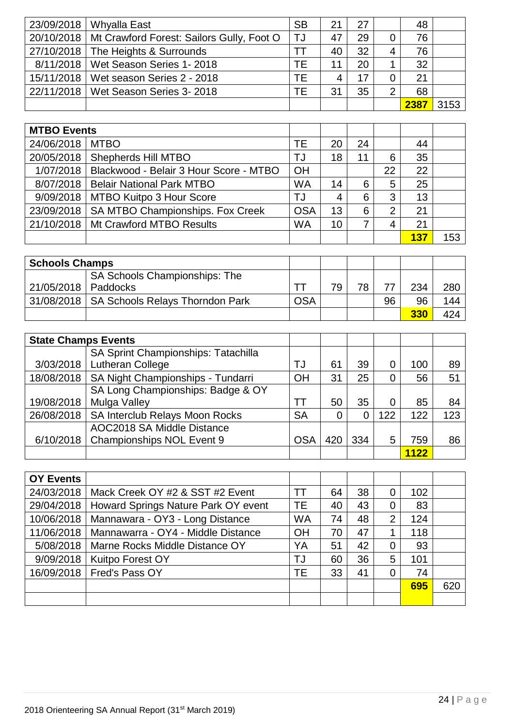| 23/09/2018   Whyalla East                              | <b>SB</b> | 21 | 27 |                | 48   |      |
|--------------------------------------------------------|-----------|----|----|----------------|------|------|
| 20/10/2018   Mt Crawford Forest: Sailors Gully, Foot O | TJ        | 47 | 29 | 0              | 76   |      |
| 27/10/2018   The Heights & Surrounds                   | T٦        | 40 | 32 | 4              | 76   |      |
| 8/11/2018   Wet Season Series 1- 2018                  | ТE        |    | 20 |                | 32   |      |
| 15/11/2018   Wet season Series 2 - 2018                | TF        |    | 17 | 0              | 21   |      |
| 22/11/2018   Wet Season Series 3- 2018                 | ΤF        | 31 | 35 | $\overline{2}$ | 68   |      |
|                                                        |           |    |    |                | 2387 | 3153 |

| <b>MTBO Events</b> |                                        |            |    |    |                |     |     |
|--------------------|----------------------------------------|------------|----|----|----------------|-----|-----|
| 24/06/2018         | <b>MTBO</b>                            | ТE         | 20 | 24 |                | 44  |     |
| 20/05/2018         | <b>Shepherds Hill MTBO</b>             | TJ         | 18 |    | 6              | 35  |     |
| 1/07/2018          | Blackwood - Belair 3 Hour Score - MTBO | OH         |    |    | 22             | 22  |     |
| 8/07/2018          | <b>Belair National Park MTBO</b>       | <b>WA</b>  | 14 | 6  | 5              | 25  |     |
| 9/09/2018          | MTBO Kuitpo 3 Hour Score               | TJ         | 4  | 6  | 3              | 13  |     |
| 23/09/2018         | SA MTBO Championships. Fox Creek       | <b>OSA</b> | 13 | 6  | $\overline{2}$ | 21  |     |
| 21/10/2018         | Mt Crawford MTBO Results               | <b>WA</b>  | 10 | 7  | 4              | 21  |     |
|                    |                                        |            |    |    |                | 137 | 153 |

| <b>Schools Champs</b> |                                              |            |    |    |    |     |     |
|-----------------------|----------------------------------------------|------------|----|----|----|-----|-----|
|                       | <b>SA Schools Championships: The</b>         |            |    |    |    |     |     |
| 21/05/2018   Paddocks |                                              |            | 7۵ | 78 | 77 | 234 | 280 |
|                       | 31/08/2018   SA Schools Relays Thorndon Park | <b>OSA</b> |    |    | 96 | 96  | 144 |
|                       |                                              |            |    |    |    | 330 | 424 |

| <b>State Champs Events</b> |                                     |            |     |     |     |      |     |
|----------------------------|-------------------------------------|------------|-----|-----|-----|------|-----|
|                            | SA Sprint Championships: Tatachilla |            |     |     |     |      |     |
| 3/03/2018                  | <b>Lutheran College</b>             | TJ         | 61  | 39  | 0   | 100  | 89  |
| 18/08/2018                 | SA Night Championships - Tundarri   | OH         | 31  | 25  | 0   | 56   | 51  |
|                            | SA Long Championships: Badge & OY   |            |     |     |     |      |     |
| 19/08/2018                 | Mulga Valley                        | ТT         | 50  | 35  | 0   | 85   | 84  |
| 26/08/2018                 | SA Interclub Relays Moon Rocks      | <b>SA</b>  |     |     | 122 | 122  | 123 |
|                            | AOC2018 SA Middle Distance          |            |     |     |     |      |     |
| 6/10/2018                  | Championships NOL Event 9           | <b>OSA</b> | 420 | 334 | 5   | 759  | 86  |
|                            |                                     |            |     |     |     | 1122 |     |

| <b>OY Events</b> |                                     |           |    |    |                |     |     |
|------------------|-------------------------------------|-----------|----|----|----------------|-----|-----|
| 24/03/2018       | Mack Creek OY #2 & SST #2 Event     | ТT        | 64 | 38 | 0              | 102 |     |
| 29/04/2018       | Howard Springs Nature Park OY event | TE        | 40 | 43 | $\overline{0}$ | 83  |     |
| 10/06/2018       | Mannawara - OY3 - Long Distance     | <b>WA</b> | 74 | 48 | 2              | 124 |     |
| 11/06/2018       | Mannawarra - OY4 - Middle Distance  | OH        | 70 | 47 |                | 118 |     |
| 5/08/2018        | Marne Rocks Middle Distance OY      | YA        | 51 | 42 | $\overline{0}$ | 93  |     |
| 9/09/2018        | Kuitpo Forest OY                    | TJ        | 60 | 36 | 5              | 101 |     |
| 16/09/2018       | Fred's Pass OY                      | ТE        | 33 | 41 | $\overline{0}$ | 74  |     |
|                  |                                     |           |    |    |                | 695 | 620 |
|                  |                                     |           |    |    |                |     |     |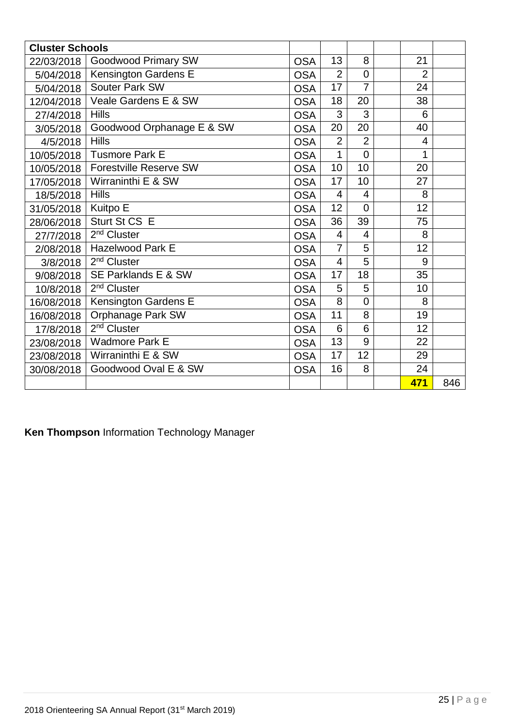| <b>Cluster Schools</b> |                               |            |                |                |                 |     |
|------------------------|-------------------------------|------------|----------------|----------------|-----------------|-----|
| 22/03/2018             | <b>Goodwood Primary SW</b>    | <b>OSA</b> | 13             | 8              | 21              |     |
| 5/04/2018              | <b>Kensington Gardens E</b>   | <b>OSA</b> | $\overline{2}$ | $\overline{0}$ | 2               |     |
| 5/04/2018              | Souter Park SW                | <b>OSA</b> | 17             | $\overline{7}$ | 24              |     |
| 12/04/2018             | Veale Gardens E & SW          | <b>OSA</b> | 18             | 20             | 38              |     |
| 27/4/2018              | <b>Hills</b>                  | <b>OSA</b> | 3              | 3              | 6               |     |
| 3/05/2018              | Goodwood Orphanage E & SW     | <b>OSA</b> | 20             | 20             | 40              |     |
| 4/5/2018               | <b>Hills</b>                  | <b>OSA</b> | $\overline{2}$ | $\overline{2}$ | $\overline{4}$  |     |
| 10/05/2018             | <b>Tusmore Park E</b>         | <b>OSA</b> | $\mathbf{1}$   | $\overline{0}$ | 1               |     |
| 10/05/2018             | <b>Forestville Reserve SW</b> | <b>OSA</b> | 10             | 10             | 20              |     |
| 17/05/2018             | Wirraninthi E & SW            | <b>OSA</b> | 17             | 10             | 27              |     |
| 18/5/2018              | <b>Hills</b>                  | <b>OSA</b> | $\overline{4}$ | $\overline{4}$ | 8               |     |
| 31/05/2018             | Kuitpo E                      | <b>OSA</b> | 12             | $\Omega$       | 12              |     |
| 28/06/2018             | Sturt St CS E                 | <b>OSA</b> | 36             | 39             | 75              |     |
| 27/7/2018              | 2 <sup>nd</sup> Cluster       | <b>OSA</b> | 4              | $\overline{4}$ | 8               |     |
| 2/08/2018              | <b>Hazelwood Park E</b>       | <b>OSA</b> | $\overline{7}$ | 5              | 12              |     |
| 3/8/2018               | 2 <sup>nd</sup> Cluster       | <b>OSA</b> | $\overline{4}$ | 5              | 9               |     |
| 9/08/2018              | SE Parklands E & SW           | <b>OSA</b> | 17             | 18             | 35              |     |
| 10/8/2018              | 2 <sup>nd</sup> Cluster       | <b>OSA</b> | 5              | 5              | 10              |     |
| 16/08/2018             | Kensington Gardens E          | <b>OSA</b> | $\overline{8}$ | $\overline{0}$ | 8               |     |
| 16/08/2018             | <b>Orphanage Park SW</b>      | <b>OSA</b> | 11             | 8              | 19              |     |
| 17/8/2018              | 2 <sup>nd</sup> Cluster       | <b>OSA</b> | 6              | $\overline{6}$ | $\overline{12}$ |     |
| 23/08/2018             | <b>Wadmore Park E</b>         | <b>OSA</b> | 13             | 9              | 22              |     |
| 23/08/2018             | Wirraninthi E & SW            | <b>OSA</b> | 17             | 12             | 29              |     |
| 30/08/2018             | Goodwood Oval E & SW          | <b>OSA</b> | 16             | 8              | 24              |     |
|                        |                               |            |                |                | 471             | 846 |

**Ken Thompson** Information Technology Manager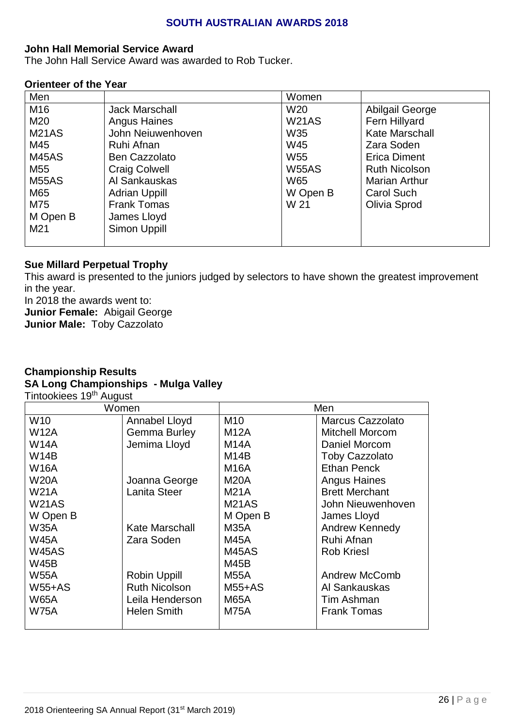#### **SOUTH AUSTRALIAN AWARDS 2018**

#### **John Hall Memorial Service Award**

The John Hall Service Award was awarded to Rob Tucker.

#### **Orienteer of the Year**

| Men             |                       | Women           |                       |
|-----------------|-----------------------|-----------------|-----------------------|
| M16             | <b>Jack Marschall</b> | W <sub>20</sub> | Abilgail George       |
| M20             | <b>Angus Haines</b>   | <b>W21AS</b>    | Fern Hillyard         |
| <b>M21AS</b>    | John Neiuwenhoven     | W35             | <b>Kate Marschall</b> |
| M45             | Ruhi Afnan            | W45             | Zara Soden            |
| <b>M45AS</b>    | <b>Ben Cazzolato</b>  | W <sub>55</sub> | <b>Erica Diment</b>   |
| M55             | <b>Craig Colwell</b>  | <b>W55AS</b>    | <b>Ruth Nicolson</b>  |
| <b>M55AS</b>    | Al Sankauskas         | W65             | <b>Marian Arthur</b>  |
| M65             | <b>Adrian Uppill</b>  | W Open B        | <b>Carol Such</b>     |
| M75             | <b>Frank Tomas</b>    | W 21            | Olivia Sprod          |
| M Open B        | James Lloyd           |                 |                       |
| M <sub>21</sub> | Simon Uppill          |                 |                       |
|                 |                       |                 |                       |

#### **Sue Millard Perpetual Trophy**

This award is presented to the juniors judged by selectors to have shown the greatest improvement in the year.

In 2018 the awards went to:

**Junior Female:** Abigail George

**Junior Male:** Toby Cazzolato

# **Championship Results SA Long Championships - Mulga Valley**

Tintookiees 19<sup>th</sup> August

|                 | Women                | Men             |                         |  |  |
|-----------------|----------------------|-----------------|-------------------------|--|--|
| W <sub>10</sub> | Annabel Lloyd        | M <sub>10</sub> | <b>Marcus Cazzolato</b> |  |  |
| W12A            | <b>Gemma Burley</b>  | <b>M12A</b>     | <b>Mitchell Morcom</b>  |  |  |
| <b>W14A</b>     | Jemima Lloyd         | <b>M14A</b>     | Daniel Morcom           |  |  |
| <b>W14B</b>     |                      | M14B            | <b>Toby Cazzolato</b>   |  |  |
| <b>W16A</b>     |                      | <b>M16A</b>     | Ethan Penck             |  |  |
| <b>W20A</b>     | Joanna George        | <b>M20A</b>     | <b>Angus Haines</b>     |  |  |
| <b>W21A</b>     | Lanita Steer         | <b>M21A</b>     | <b>Brett Merchant</b>   |  |  |
| <b>W21AS</b>    |                      | <b>M21AS</b>    | John Nieuwenhoven       |  |  |
| W Open B        |                      | M Open B        | James Lloyd             |  |  |
| <b>W35A</b>     | Kate Marschall       | M35A            | Andrew Kennedy          |  |  |
| <b>W45A</b>     | Zara Soden           | M45A            | Ruhi Afnan              |  |  |
| W45AS           |                      | M45AS           | <b>Rob Kriesl</b>       |  |  |
| <b>W45B</b>     |                      | M45B            |                         |  |  |
| <b>W55A</b>     | <b>Robin Uppill</b>  | <b>M55A</b>     | Andrew McComb           |  |  |
| <b>W55+AS</b>   | <b>Ruth Nicolson</b> | <b>M55+AS</b>   | Al Sankauskas           |  |  |
| <b>W65A</b>     | Leila Henderson      | <b>M65A</b>     | Tim Ashman              |  |  |
| <b>W75A</b>     | <b>Helen Smith</b>   | <b>M75A</b>     | <b>Frank Tomas</b>      |  |  |
|                 |                      |                 |                         |  |  |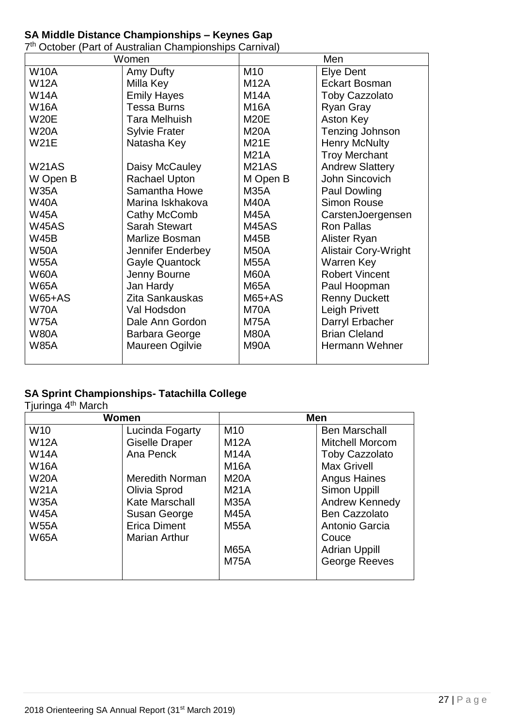#### **SA Middle Distance Championships – Keynes Gap**

7<sup>th</sup> October (Part of Australian Championships Carnival)

|               | Women                 |                 | Men                         |
|---------------|-----------------------|-----------------|-----------------------------|
| <b>W10A</b>   | Amy Dufty             | M <sub>10</sub> | <b>Elye Dent</b>            |
| <b>W12A</b>   | Milla Key             | <b>M12A</b>     | <b>Eckart Bosman</b>        |
| <b>W14A</b>   | <b>Emily Hayes</b>    | <b>M14A</b>     | <b>Toby Cazzolato</b>       |
| <b>W16A</b>   | <b>Tessa Burns</b>    | <b>M16A</b>     | Ryan Gray                   |
| <b>W20E</b>   | <b>Tara Melhuish</b>  | <b>M20E</b>     | <b>Aston Key</b>            |
| <b>W20A</b>   | <b>Sylvie Frater</b>  | <b>M20A</b>     | Tenzing Johnson             |
| <b>W21E</b>   | Natasha Key           | <b>M21E</b>     | <b>Henry McNulty</b>        |
|               |                       | <b>M21A</b>     | <b>Troy Merchant</b>        |
| <b>W21AS</b>  | Daisy McCauley        | <b>M21AS</b>    | <b>Andrew Slattery</b>      |
| W Open B      | <b>Rachael Upton</b>  | M Open B        | John Sincovich              |
| <b>W35A</b>   | Samantha Howe         | <b>M35A</b>     | Paul Dowling                |
| <b>W40A</b>   | Marina Iskhakova      | <b>M40A</b>     | <b>Simon Rouse</b>          |
| <b>W45A</b>   | Cathy McComb          | <b>M45A</b>     | CarstenJoergensen           |
| <b>W45AS</b>  | <b>Sarah Stewart</b>  | <b>M45AS</b>    | <b>Ron Pallas</b>           |
| <b>W45B</b>   | Marlize Bosman        | <b>M45B</b>     | Alister Ryan                |
| <b>W50A</b>   | Jennifer Enderbey     | M50A            | <b>Alistair Cory-Wright</b> |
| <b>W55A</b>   | <b>Gayle Quantock</b> | <b>M55A</b>     | Warren Key                  |
| <b>W60A</b>   | Jenny Bourne          | M60A            | <b>Robert Vincent</b>       |
| <b>W65A</b>   | Jan Hardy             | <b>M65A</b>     | Paul Hoopman                |
| <b>W65+AS</b> | Zita Sankauskas       | M65+AS          | <b>Renny Duckett</b>        |
| <b>W70A</b>   | Val Hodsdon           | M70A            | <b>Leigh Privett</b>        |
| <b>W75A</b>   | Dale Ann Gordon       | <b>M75A</b>     | Darryl Erbacher             |
| <b>W80A</b>   | Barbara George        | M80A            | <b>Brian Cleland</b>        |
| <b>W85A</b>   | Maureen Ogilvie       | M90A            | Hermann Wehner              |
|               |                       |                 |                             |

#### **SA Sprint Championships- Tatachilla College**

Tjuringa 4<sup>th</sup> March

| Women           |                        | <b>Men</b>                           |                        |  |
|-----------------|------------------------|--------------------------------------|------------------------|--|
| W <sub>10</sub> | Lucinda Fogarty        | M <sub>10</sub>                      | <b>Ben Marschall</b>   |  |
| <b>W12A</b>     | <b>Giselle Draper</b>  | <b>M12A</b>                          | <b>Mitchell Morcom</b> |  |
| <b>W14A</b>     | Ana Penck              | <b>Toby Cazzolato</b><br><b>M14A</b> |                        |  |
| <b>W16A</b>     |                        | <b>M16A</b>                          | <b>Max Grivell</b>     |  |
| <b>W20A</b>     | <b>Meredith Norman</b> | <b>M20A</b>                          | <b>Angus Haines</b>    |  |
| <b>W21A</b>     | Olivia Sprod           | <b>M21A</b>                          | Simon Uppill           |  |
| <b>W35A</b>     | Kate Marschall         | <b>M35A</b>                          | Andrew Kennedy         |  |
| <b>W45A</b>     | Susan George           | <b>M45A</b>                          | <b>Ben Cazzolato</b>   |  |
| <b>W55A</b>     | <b>Erica Diment</b>    | <b>M55A</b>                          | Antonio Garcia         |  |
| <b>W65A</b>     | <b>Marian Arthur</b>   |                                      | Couce                  |  |
|                 |                        | <b>M65A</b>                          | <b>Adrian Uppill</b>   |  |
|                 |                        | <b>M75A</b>                          | <b>George Reeves</b>   |  |
|                 |                        |                                      |                        |  |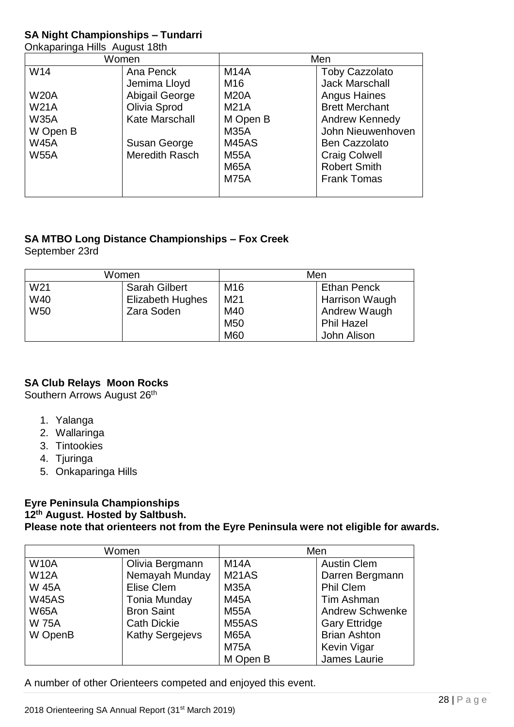#### **SA Night Championships – Tundarri**

Onkaparinga Hills August 18th

| - ت         |                |                 |                       |  |  |
|-------------|----------------|-----------------|-----------------------|--|--|
| Women       |                |                 | Men                   |  |  |
| W14         | Ana Penck      | <b>M14A</b>     | <b>Toby Cazzolato</b> |  |  |
|             | Jemima Lloyd   | M <sub>16</sub> | <b>Jack Marschall</b> |  |  |
| <b>W20A</b> | Abigail George | <b>M20A</b>     | <b>Angus Haines</b>   |  |  |
| <b>W21A</b> | Olivia Sprod   | <b>M21A</b>     | <b>Brett Merchant</b> |  |  |
| <b>W35A</b> | Kate Marschall | M Open B        | Andrew Kennedy        |  |  |
| W Open B    |                | <b>M35A</b>     | John Nieuwenhoven     |  |  |
| <b>W45A</b> | Susan George   | M45AS           | <b>Ben Cazzolato</b>  |  |  |
| <b>W55A</b> | Meredith Rasch | <b>M55A</b>     | <b>Craig Colwell</b>  |  |  |
|             |                | <b>M65A</b>     | <b>Robert Smith</b>   |  |  |
|             |                | <b>M75A</b>     | <b>Frank Tomas</b>    |  |  |
|             |                |                 |                       |  |  |

# **SA MTBO Long Distance Championships – Fox Creek**

September 23rd

| Women                          |                      | Men                                   |                       |  |
|--------------------------------|----------------------|---------------------------------------|-----------------------|--|
| W <sub>21</sub>                | <b>Sarah Gilbert</b> | M <sub>16</sub><br><b>Ethan Penck</b> |                       |  |
| W40<br><b>Elizabeth Hughes</b> |                      | M <sub>21</sub>                       | <b>Harrison Waugh</b> |  |
| <b>W50</b><br>Zara Soden       |                      | M40                                   | Andrew Waugh          |  |
|                                |                      | M <sub>50</sub>                       | <b>Phil Hazel</b>     |  |
|                                |                      | M60                                   | John Alison           |  |

#### **SA Club Relays Moon Rocks**

Southern Arrows August 26<sup>th</sup>

- 1. Yalanga
- 2. Wallaringa
- 3. Tintookies
- 4. Tjuringa
- 5. Onkaparinga Hills

#### **Eyre Peninsula Championships 12th August. Hosted by Saltbush. Please note that orienteers not from the Eyre Peninsula were not eligible for awards.**

| Women                             |                     | Men                               |                        |  |
|-----------------------------------|---------------------|-----------------------------------|------------------------|--|
| <b>W10A</b>                       | Olivia Bergmann     | <b>M14A</b><br><b>Austin Clem</b> |                        |  |
| <b>W12A</b>                       | Nemayah Munday      | M21AS                             | Darren Bergmann        |  |
| <b>W 45A</b>                      | Elise Clem          | <b>M35A</b>                       | Phil Clem              |  |
| <b>W45AS</b>                      | <b>Tonia Munday</b> | <b>M45A</b>                       | Tim Ashman             |  |
| <b>W65A</b>                       | <b>Bron Saint</b>   | <b>M55A</b>                       | <b>Andrew Schwenke</b> |  |
| <b>W 75A</b>                      | <b>Cath Dickie</b>  | <b>M55AS</b>                      | <b>Gary Ettridge</b>   |  |
| <b>Kathy Sergejevs</b><br>W OpenB |                     | <b>M65A</b>                       | <b>Brian Ashton</b>    |  |
|                                   |                     | <b>M75A</b>                       | <b>Kevin Vigar</b>     |  |
|                                   |                     | M Open B                          | James Laurie           |  |

A number of other Orienteers competed and enjoyed this event.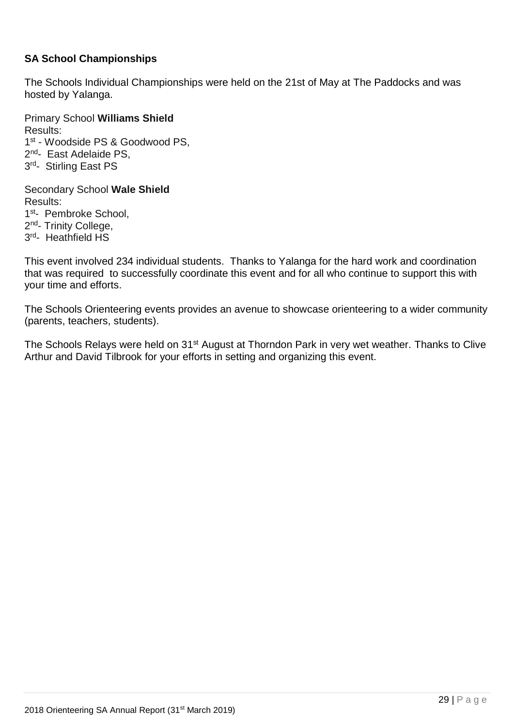#### **SA School Championships**

The Schools Individual Championships were held on the 21st of May at The Paddocks and was hosted by Yalanga.

Primary School **Williams Shield** Results: 1 st - Woodside PS & Goodwood PS, 2<sup>nd</sup>- East Adelaide PS, 3<sup>rd</sup>- Stirling East PS

Secondary School **Wale Shield** Results: 1st- Pembroke School, 2<sup>nd</sup>- Trinity College, 3<sup>rd</sup>- Heathfield HS

This event involved 234 individual students. Thanks to Yalanga for the hard work and coordination that was required to successfully coordinate this event and for all who continue to support this with your time and efforts.

The Schools Orienteering events provides an avenue to showcase orienteering to a wider community (parents, teachers, students).

The Schools Relays were held on 31<sup>st</sup> August at Thorndon Park in very wet weather. Thanks to Clive Arthur and David Tilbrook for your efforts in setting and organizing this event.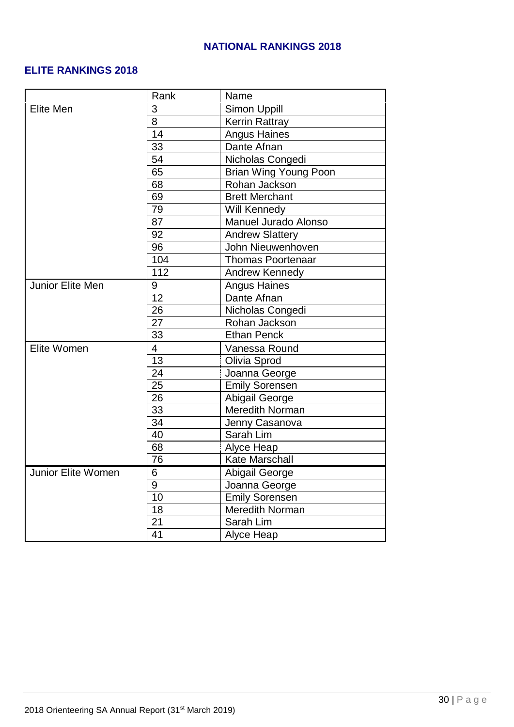## **NATIONAL RANKINGS 2018**

#### **ELITE RANKINGS 2018**

|                    | Rank                     | Name                     |  |
|--------------------|--------------------------|--------------------------|--|
| Elite Men          | 3                        | <b>Simon Uppill</b>      |  |
|                    | 8                        | <b>Kerrin Rattray</b>    |  |
|                    | 14                       | <b>Angus Haines</b>      |  |
|                    | 33                       | Dante Afnan              |  |
|                    | 54                       | Nicholas Congedi         |  |
|                    | 65                       | Brian Wing Young Poon    |  |
|                    | 68                       | Rohan Jackson            |  |
|                    | 69                       | <b>Brett Merchant</b>    |  |
|                    | 79                       | Will Kennedy             |  |
|                    | 87                       | Manuel Jurado Alonso     |  |
|                    | 92                       | <b>Andrew Slattery</b>   |  |
|                    | 96                       | John Nieuwenhoven        |  |
|                    | 104                      | <b>Thomas Poortenaar</b> |  |
|                    | 112                      | <b>Andrew Kennedy</b>    |  |
| Junior Elite Men   | 9                        | <b>Angus Haines</b>      |  |
|                    | 12                       | Dante Afnan              |  |
|                    | 26                       | Nicholas Congedi         |  |
|                    | 27                       | Rohan Jackson            |  |
|                    | 33                       | <b>Ethan Penck</b>       |  |
| Elite Women        | $\overline{\mathcal{A}}$ | Vanessa Round            |  |
|                    | 13                       | Olivia Sprod             |  |
|                    | 24                       | Joanna George            |  |
|                    | 25                       | <b>Emily Sorensen</b>    |  |
|                    | 26                       | <b>Abigail George</b>    |  |
|                    | 33                       | <b>Meredith Norman</b>   |  |
|                    | 34                       | Jenny Casanova           |  |
|                    | 40                       | Sarah Lim                |  |
|                    | 68                       | Alyce Heap               |  |
|                    | 76                       | Kate Marschall           |  |
| Junior Elite Women | 6                        | <b>Abigail George</b>    |  |
|                    | 9                        | Joanna George            |  |
|                    | 10                       | <b>Emily Sorensen</b>    |  |
|                    | 18                       | Meredith Norman          |  |
|                    | 21                       | Sarah Lim                |  |
|                    | 41                       | Alyce Heap               |  |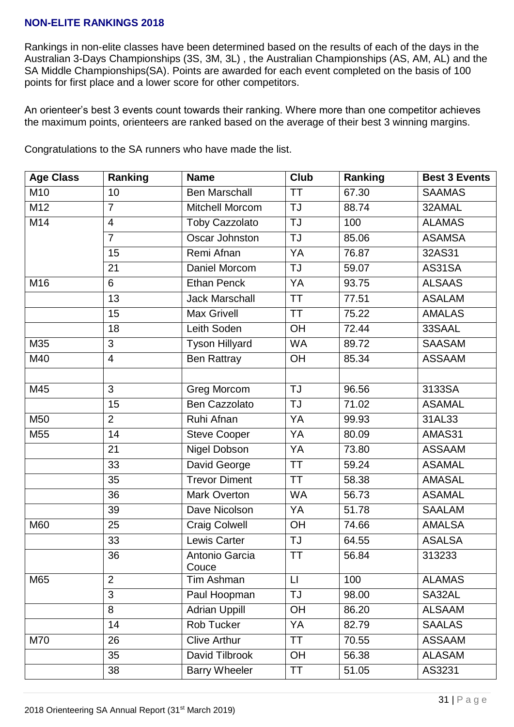#### **NON-ELITE RANKINGS 2018**

Rankings in non-elite classes have been determined based on the results of each of the days in the Australian 3-Days Championships (3S, 3M, 3L) , the Australian Championships (AS, AM, AL) and the SA Middle Championships(SA). Points are awarded for each event completed on the basis of 100 points for first place and a lower score for other competitors.

An orienteer's best 3 events count towards their ranking. Where more than one competitor achieves the maximum points, orienteers are ranked based on the average of their best 3 winning margins.

| <b>Age Class</b> | Ranking                 | <b>Name</b>             | Club              | Ranking | <b>Best 3 Events</b> |
|------------------|-------------------------|-------------------------|-------------------|---------|----------------------|
| M10              | 10                      | <b>Ben Marschall</b>    | <b>TT</b>         | 67.30   | <b>SAAMAS</b>        |
| M12              | $\overline{7}$          | Mitchell Morcom         | TJ                | 88.74   | 32AMAL               |
| M14              | $\overline{\mathbf{4}}$ | <b>Toby Cazzolato</b>   | <b>TJ</b>         | 100     | <b>ALAMAS</b>        |
|                  | $\overline{7}$          | Oscar Johnston          | <b>TJ</b>         | 85.06   | <b>ASAMSA</b>        |
|                  | 15                      | Remi Afnan              | YA                | 76.87   | 32AS31               |
|                  | 21                      | Daniel Morcom           | <b>TJ</b>         | 59.07   | AS31SA               |
| M16              | 6                       | <b>Ethan Penck</b>      | YA                | 93.75   | <b>ALSAAS</b>        |
|                  | 13                      | <b>Jack Marschall</b>   | <b>TT</b>         | 77.51   | <b>ASALAM</b>        |
|                  | 15                      | <b>Max Grivell</b>      | <b>TT</b>         | 75.22   | <b>AMALAS</b>        |
|                  | 18                      | Leith Soden             | OH                | 72.44   | 33SAAL               |
| M35              | 3                       | <b>Tyson Hillyard</b>   | <b>WA</b>         | 89.72   | <b>SAASAM</b>        |
| M40              | 4                       | <b>Ben Rattray</b>      | OH                | 85.34   | <b>ASSAAM</b>        |
|                  |                         |                         |                   |         |                      |
| M45              | 3                       | Greg Morcom             | <b>TJ</b>         | 96.56   | 3133SA               |
|                  | 15                      | <b>Ben Cazzolato</b>    | <b>TJ</b>         | 71.02   | <b>ASAMAL</b>        |
| M50              | $\overline{2}$          | Ruhi Afnan              | YA                | 99.93   | 31AL33               |
| M55              | 14                      | <b>Steve Cooper</b>     | YA                | 80.09   | AMAS31               |
|                  | 21                      | Nigel Dobson            | YA                | 73.80   | <b>ASSAAM</b>        |
|                  | 33                      | David George            | <b>TT</b>         | 59.24   | <b>ASAMAL</b>        |
|                  | 35                      | <b>Trevor Diment</b>    | <b>TT</b>         | 58.38   | <b>AMASAL</b>        |
|                  | 36                      | <b>Mark Overton</b>     | <b>WA</b>         | 56.73   | <b>ASAMAL</b>        |
|                  | 39                      | Dave Nicolson           | YA                | 51.78   | <b>SAALAM</b>        |
| M60              | 25                      | <b>Craig Colwell</b>    | OH                | 74.66   | <b>AMALSA</b>        |
|                  | 33                      | Lewis Carter            | <b>TJ</b>         | 64.55   | <b>ASALSA</b>        |
|                  | 36                      | Antonio Garcia<br>Couce | <b>TT</b>         | 56.84   | 313233               |
| M65              | $\overline{2}$          | Tim Ashman              | $\lfloor \rfloor$ | 100     | <b>ALAMAS</b>        |
|                  | $\overline{3}$          | Paul Hoopman            | <b>TJ</b>         | 98.00   | SA32AL               |
|                  | 8                       | <b>Adrian Uppill</b>    | OH                | 86.20   | <b>ALSAAM</b>        |
|                  | 14                      | Rob Tucker              | YA                | 82.79   | <b>SAALAS</b>        |
| M70              | 26                      | <b>Clive Arthur</b>     | <b>TT</b>         | 70.55   | <b>ASSAAM</b>        |
|                  | 35                      | David Tilbrook          | OH                | 56.38   | <b>ALASAM</b>        |
|                  | 38                      | <b>Barry Wheeler</b>    | <b>TT</b>         | 51.05   | AS3231               |

Congratulations to the SA runners who have made the list.